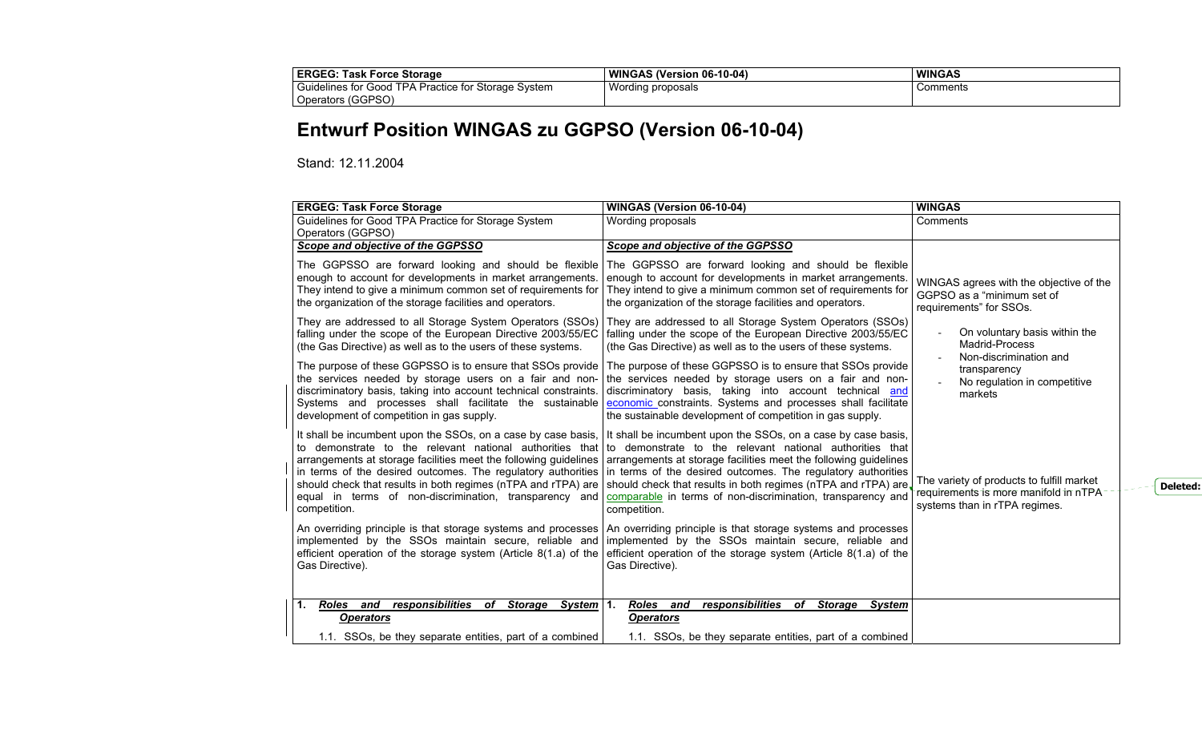| <b>ERGEG:</b><br><b>Task Force Storage</b>                                    | WINGAS (Version 06-10-04) | <b>WINGAS</b> |
|-------------------------------------------------------------------------------|---------------------------|---------------|
| Guidelines for Good<br>I TPA Practice for S<br><sup>-</sup> Storage<br>Svstem | Wording proposals<br>ີ    | Comments      |
| Operators (GGPSO)                                                             |                           |               |

## **Entwurf Position WINGAS zu GGPSO (Version 06-10-04)**

Stand: 12.11.2004

| <b>ERGEG: Task Force Storage</b>                                                                                                                                                                                                                                                                                                                                                                         | WINGAS (Version 06-10-04)                                                                                                                                                                                                                                                                                                                                                                                      | <b>WINGAS</b>                                                                                                        |
|----------------------------------------------------------------------------------------------------------------------------------------------------------------------------------------------------------------------------------------------------------------------------------------------------------------------------------------------------------------------------------------------------------|----------------------------------------------------------------------------------------------------------------------------------------------------------------------------------------------------------------------------------------------------------------------------------------------------------------------------------------------------------------------------------------------------------------|----------------------------------------------------------------------------------------------------------------------|
| Guidelines for Good TPA Practice for Storage System<br>Operators (GGPSO)                                                                                                                                                                                                                                                                                                                                 | Wording proposals                                                                                                                                                                                                                                                                                                                                                                                              | Comments                                                                                                             |
| Scope and objective of the GGPSSO                                                                                                                                                                                                                                                                                                                                                                        | Scope and objective of the GGPSSO                                                                                                                                                                                                                                                                                                                                                                              |                                                                                                                      |
| The GGPSSO are forward looking and should be flexible<br>enough to account for developments in market arrangements.<br>They intend to give a minimum common set of requirements for<br>the organization of the storage facilities and operators.                                                                                                                                                         | The GGPSSO are forward looking and should be flexible<br>enough to account for developments in market arrangements.<br>They intend to give a minimum common set of requirements for<br>the organization of the storage facilities and operators.                                                                                                                                                               | WINGAS agrees with the objective of the<br>GGPSO as a "minimum set of<br>requirements" for SSOs.                     |
| They are addressed to all Storage System Operators (SSOs)<br>falling under the scope of the European Directive 2003/55/EC<br>(the Gas Directive) as well as to the users of these systems.                                                                                                                                                                                                               | They are addressed to all Storage System Operators (SSOs)<br>falling under the scope of the European Directive 2003/55/EC<br>(the Gas Directive) as well as to the users of these systems.                                                                                                                                                                                                                     | On voluntary basis within the<br>Madrid-Process<br>Non-discrimination and                                            |
| The purpose of these GGPSSO is to ensure that SSOs provide<br>the services needed by storage users on a fair and non-<br>discriminatory basis, taking into account technical constraints.<br>Systems and processes shall facilitate the sustainable<br>development of competition in gas supply.                                                                                                         | The purpose of these GGPSSO is to ensure that SSOs provide<br>the services needed by storage users on a fair and non-<br>discriminatory basis, taking into account technical and<br>economic constraints. Systems and processes shall facilitate<br>the sustainable development of competition in gas supply.                                                                                                  | transparency<br>No regulation in competitive<br>markets                                                              |
| It shall be incumbent upon the SSOs, on a case by case basis,<br>to demonstrate to the relevant national authorities that<br>arrangements at storage facilities meet the following guidelines<br>in terms of the desired outcomes. The regulatory authorities<br>should check that results in both regimes (nTPA and rTPA) are<br>equal in terms of non-discrimination, transparency and<br>competition. | It shall be incumbent upon the SSOs, on a case by case basis,<br>to demonstrate to the relevant national authorities that<br>arrangements at storage facilities meet the following guidelines<br>in terms of the desired outcomes. The regulatory authorities<br>should check that results in both regimes (nTPA and rTPA) are.<br>comparable in terms of non-discrimination, transparency and<br>competition. | The variety of products to fulfill market<br>requirements is more manifold in nTPA-<br>systems than in rTPA regimes. |
| An overriding principle is that storage systems and processes<br>implemented by the SSOs maintain secure, reliable and<br>efficient operation of the storage system (Article 8(1.a) of the<br>Gas Directive).                                                                                                                                                                                            | An overriding principle is that storage systems and processes<br>implemented by the SSOs maintain secure, reliable and<br>efficient operation of the storage system (Article 8(1.a) of the<br>Gas Directive).                                                                                                                                                                                                  |                                                                                                                      |
| responsibilities of<br>Roles and<br>Storage System<br>1.<br><b>Operators</b>                                                                                                                                                                                                                                                                                                                             | Roles and<br>responsibilities of<br>Storage<br>$\mathbf{1}$ .<br>System<br><b>Operators</b>                                                                                                                                                                                                                                                                                                                    |                                                                                                                      |
| 1.1. SSOs, be they separate entities, part of a combined                                                                                                                                                                                                                                                                                                                                                 | 1.1. SSOs, be they separate entities, part of a combined                                                                                                                                                                                                                                                                                                                                                       |                                                                                                                      |

**Deleted:**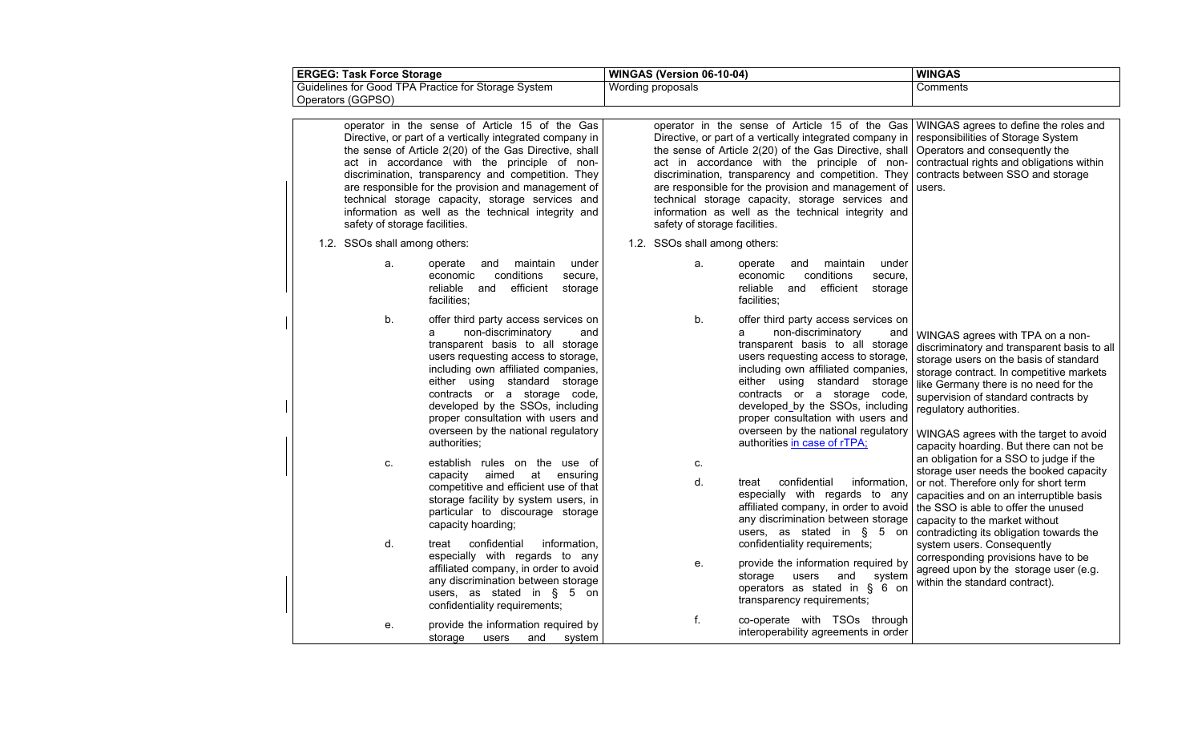| <b>ERGEG: Task Force Storage</b>                                                                                                                                                                                                                                                                                                                                                                                                                                             | WINGAS (Version 06-10-04)                                                                                                                                                                                                                                                                                                                                                                                                                                                                                                                         | <b>WINGAS</b>                                                                                                                                                                                                                                                                                                                                                          |
|------------------------------------------------------------------------------------------------------------------------------------------------------------------------------------------------------------------------------------------------------------------------------------------------------------------------------------------------------------------------------------------------------------------------------------------------------------------------------|---------------------------------------------------------------------------------------------------------------------------------------------------------------------------------------------------------------------------------------------------------------------------------------------------------------------------------------------------------------------------------------------------------------------------------------------------------------------------------------------------------------------------------------------------|------------------------------------------------------------------------------------------------------------------------------------------------------------------------------------------------------------------------------------------------------------------------------------------------------------------------------------------------------------------------|
| Guidelines for Good TPA Practice for Storage System<br>Operators (GGPSO)                                                                                                                                                                                                                                                                                                                                                                                                     | Wording proposals                                                                                                                                                                                                                                                                                                                                                                                                                                                                                                                                 | Comments                                                                                                                                                                                                                                                                                                                                                               |
| operator in the sense of Article 15 of the Gas<br>Directive, or part of a vertically integrated company in<br>the sense of Article 2(20) of the Gas Directive, shall<br>act in accordance with the principle of non-<br>discrimination, transparency and competition. They<br>are responsible for the provision and management of<br>technical storage capacity, storage services and<br>information as well as the technical integrity and<br>safety of storage facilities. | operator in the sense of Article 15 of the Gas WINGAS agrees to define the roles and<br>Directive, or part of a vertically integrated company in<br>the sense of Article 2(20) of the Gas Directive, shall Operators and consequently the<br>act in accordance with the principle of non-<br>discrimination, transparency and competition. They<br>are responsible for the provision and management of<br>technical storage capacity, storage services and<br>information as well as the technical integrity and<br>safety of storage facilities. | responsibilities of Storage System<br>contractual rights and obligations within<br>contracts between SSO and storage<br>users.                                                                                                                                                                                                                                         |
| 1.2. SSOs shall among others:                                                                                                                                                                                                                                                                                                                                                                                                                                                | 1.2. SSOs shall among others:                                                                                                                                                                                                                                                                                                                                                                                                                                                                                                                     |                                                                                                                                                                                                                                                                                                                                                                        |
| maintain<br>under<br>a.<br>operate<br>and<br>conditions<br>economic<br>secure,<br>reliable<br>and<br>efficient<br>storage<br>facilities;                                                                                                                                                                                                                                                                                                                                     | and<br>maintain<br>under<br>a.<br>operate<br>conditions<br>secure,<br>economic<br>reliable<br>and efficient<br>storage<br>facilities:                                                                                                                                                                                                                                                                                                                                                                                                             |                                                                                                                                                                                                                                                                                                                                                                        |
| b.<br>offer third party access services on<br>non-discriminatory<br>and<br>a<br>transparent basis to all storage<br>users requesting access to storage,<br>including own affiliated companies,<br>either using standard storage<br>contracts or a storage code,<br>developed by the SSOs, including<br>proper consultation with users and<br>overseen by the national regulatory<br>authorities;                                                                             | b.<br>offer third party access services on<br>non-discriminatory<br>a<br>and<br>transparent basis to all storage<br>users requesting access to storage,<br>including own affiliated companies,<br>either using standard storage<br>contracts or a storage code,<br>developed_by the SSOs, including<br>proper consultation with users and<br>overseen by the national regulatory<br>authorities in case of rTPA;                                                                                                                                  | WINGAS agrees with TPA on a non-<br>discriminatory and transparent basis to all<br>storage users on the basis of standard<br>storage contract. In competitive markets<br>like Germany there is no need for the<br>supervision of standard contracts by<br>regulatory authorities.<br>WINGAS agrees with the target to avoid<br>capacity hoarding. But there can not be |
| establish rules on the use of<br>c.<br>aimed at<br>ensuring<br>capacity<br>competitive and efficient use of that<br>storage facility by system users, in<br>particular to discourage storage<br>capacity hoarding;                                                                                                                                                                                                                                                           | c.<br>d.<br>confidential<br>information.<br>treat<br>especially with regards to any<br>affiliated company, in order to avoid<br>any discrimination between storage<br>users, as stated in § 5 on                                                                                                                                                                                                                                                                                                                                                  | an obligation for a SSO to judge if the<br>storage user needs the booked capacity<br>or not. Therefore only for short term<br>capacities and on an interruptible basis<br>the SSO is able to offer the unused<br>capacity to the market without<br>contradicting its obligation towards the                                                                            |
| confidential<br>d.<br>information,<br>treat<br>especially with regards to any<br>affiliated company, in order to avoid<br>any discrimination between storage<br>users, as stated in $\S$ 5 on<br>confidentiality requirements;                                                                                                                                                                                                                                               | confidentiality requirements;<br>provide the information required by<br>${\bf e}.$<br>users<br>storage<br>and<br>system<br>operators as stated in § 6 on<br>transparency requirements;                                                                                                                                                                                                                                                                                                                                                            | system users. Consequently<br>corresponding provisions have to be<br>agreed upon by the storage user (e.g.<br>within the standard contract).                                                                                                                                                                                                                           |
| provide the information required by<br>е.<br>and<br>system<br>storage<br>users                                                                                                                                                                                                                                                                                                                                                                                               | f.<br>co-operate with TSOs through<br>interoperability agreements in order                                                                                                                                                                                                                                                                                                                                                                                                                                                                        |                                                                                                                                                                                                                                                                                                                                                                        |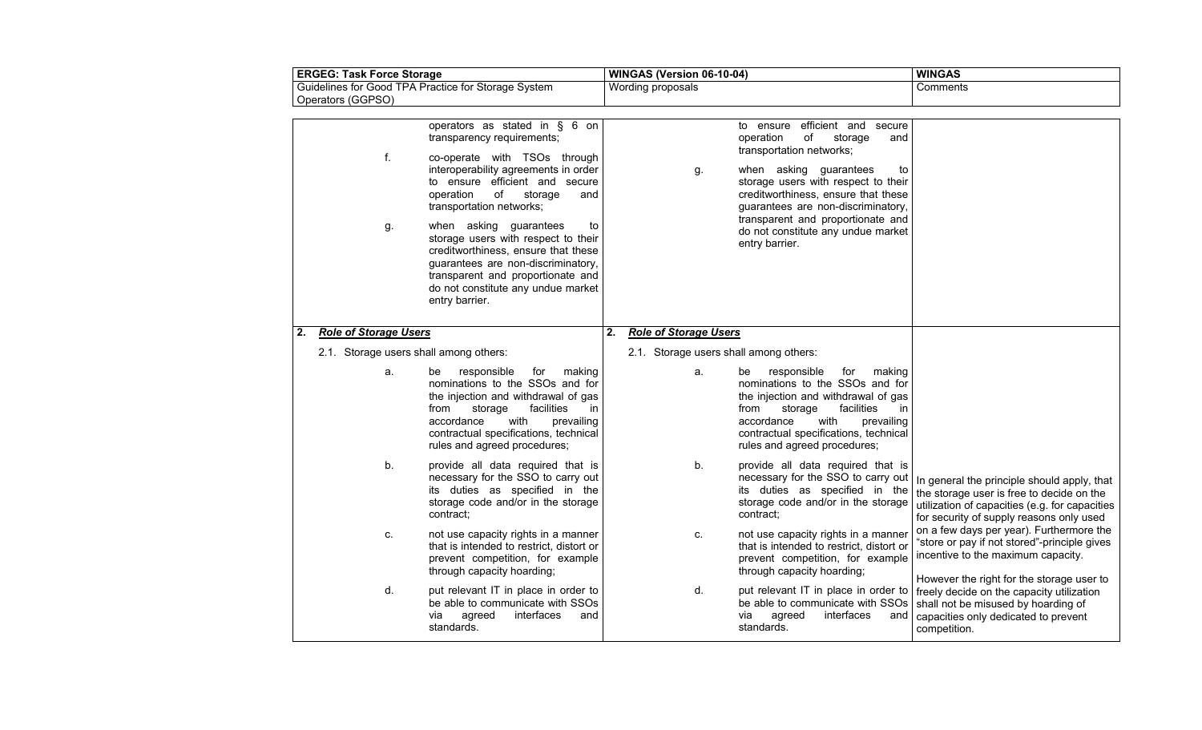| <b>ERGEG: Task Force Storage</b>                                         |                                                                        |                                                                                                                                                                                                                                                                                                                                                                                                                                                                                            | WINGAS (Version 06-10-04) |                                                                        | <b>WINGAS</b>                                                                                                                                                                                                                                                                                                                                          |                                                                                                                                                                                        |
|--------------------------------------------------------------------------|------------------------------------------------------------------------|--------------------------------------------------------------------------------------------------------------------------------------------------------------------------------------------------------------------------------------------------------------------------------------------------------------------------------------------------------------------------------------------------------------------------------------------------------------------------------------------|---------------------------|------------------------------------------------------------------------|--------------------------------------------------------------------------------------------------------------------------------------------------------------------------------------------------------------------------------------------------------------------------------------------------------------------------------------------------------|----------------------------------------------------------------------------------------------------------------------------------------------------------------------------------------|
| Guidelines for Good TPA Practice for Storage System<br>Operators (GGPSO) |                                                                        |                                                                                                                                                                                                                                                                                                                                                                                                                                                                                            | Wording proposals         |                                                                        | Comments                                                                                                                                                                                                                                                                                                                                               |                                                                                                                                                                                        |
|                                                                          | f.<br>g.                                                               | operators as stated in $\S$ 6 on<br>transparency requirements;<br>co-operate with TSOs through<br>interoperability agreements in order<br>to ensure efficient and secure<br>operation<br>of<br>storage<br>and<br>transportation networks;<br>when asking guarantees<br>to<br>storage users with respect to their<br>creditworthiness, ensure that these<br>guarantees are non-discriminatory,<br>transparent and proportionate and<br>do not constitute any undue market<br>entry barrier. |                           | g.                                                                     | efficient and<br>to ensure<br>secure<br>of<br>operation<br>storage<br>and<br>transportation networks;<br>when asking guarantees<br>to<br>storage users with respect to their<br>creditworthiness, ensure that these<br>guarantees are non-discriminatory,<br>transparent and proportionate and<br>do not constitute any undue market<br>entry barrier. |                                                                                                                                                                                        |
| 2.                                                                       | <b>Role of Storage Users</b><br>2.1. Storage users shall among others: |                                                                                                                                                                                                                                                                                                                                                                                                                                                                                            | 2.                        | <b>Role of Storage Users</b><br>2.1. Storage users shall among others: |                                                                                                                                                                                                                                                                                                                                                        |                                                                                                                                                                                        |
|                                                                          | a.                                                                     | responsible<br>for<br>making<br>be<br>nominations to the SSOs and for<br>the injection and withdrawal of gas<br>facilities<br>storage<br>from<br>in<br>accordance<br>with<br>prevailing<br>contractual specifications, technical<br>rules and agreed procedures;                                                                                                                                                                                                                           |                           | a.                                                                     | responsible<br>for<br>making<br>be<br>nominations to the SSOs and for<br>the injection and withdrawal of gas<br>facilities<br>from<br>storage<br>in.<br>accordance<br>with<br>prevailing<br>contractual specifications, technical<br>rules and agreed procedures;                                                                                      |                                                                                                                                                                                        |
|                                                                          | b.                                                                     | provide all data required that is<br>necessary for the SSO to carry out<br>its duties as specified in the<br>storage code and/or in the storage<br>contract:                                                                                                                                                                                                                                                                                                                               |                           | b.                                                                     | provide all data required that is<br>necessary for the SSO to carry out<br>its duties as specified in the<br>storage code and/or in the storage<br>contract:                                                                                                                                                                                           | In general the principle should apply, that<br>the storage user is free to decide on the<br>utilization of capacities (e.g. for capacities<br>for security of supply reasons only used |
|                                                                          | C.                                                                     | not use capacity rights in a manner<br>that is intended to restrict, distort or<br>prevent competition, for example<br>through capacity hoarding;                                                                                                                                                                                                                                                                                                                                          |                           | C.                                                                     | not use capacity rights in a manner<br>that is intended to restrict, distort or<br>prevent competition, for example<br>through capacity hoarding;                                                                                                                                                                                                      | on a few days per year). Furthermore the<br>"store or pay if not stored"-principle gives<br>incentive to the maximum capacity.<br>However the right for the storage user to            |
|                                                                          | d.                                                                     | put relevant IT in place in order to<br>be able to communicate with SSOs<br>via<br>agreed<br>interfaces<br>and<br>standards.                                                                                                                                                                                                                                                                                                                                                               |                           | d.                                                                     | be able to communicate with SSOs<br>agreed<br>interfaces<br>via<br>and<br>standards.                                                                                                                                                                                                                                                                   | put relevant IT in place in order to   freely decide on the capacity utilization<br>shall not be misused by hoarding of<br>capacities only dedicated to prevent<br>competition.        |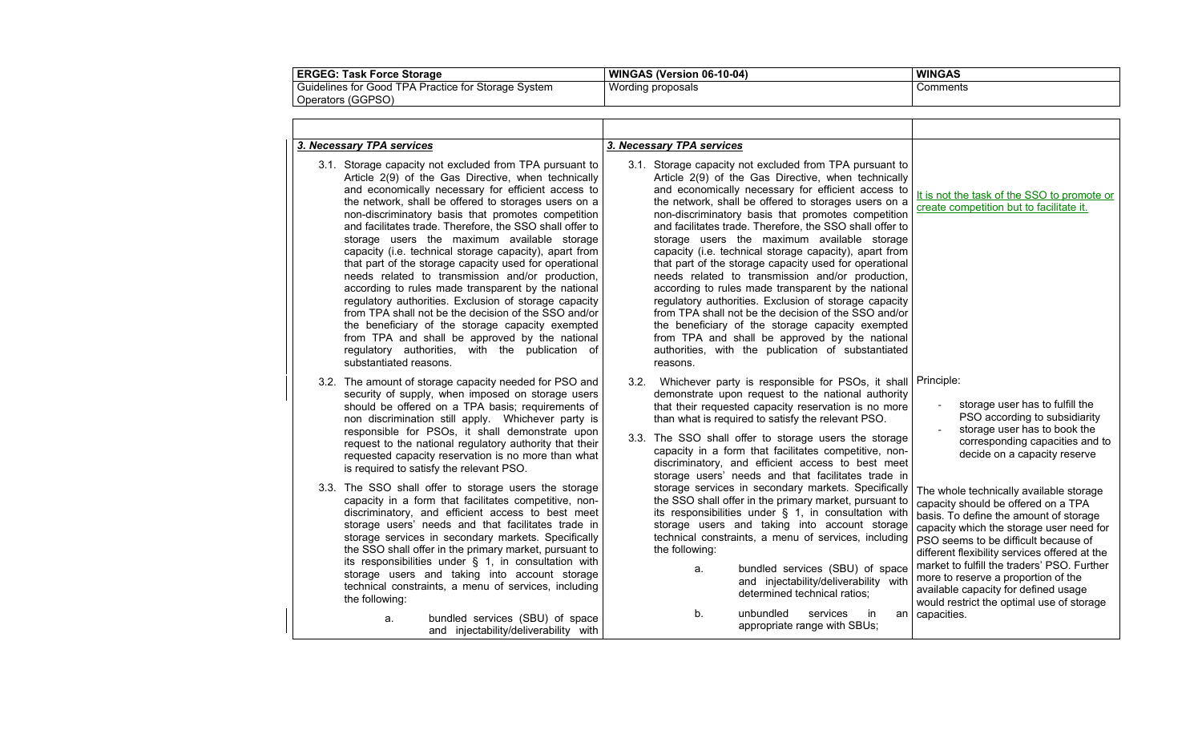| ERGEG: Task Force Storage                                            | WINGAS (Version 06-10-04) | <b>WINGAS</b> |
|----------------------------------------------------------------------|---------------------------|---------------|
| Guidelines for Good<br>\ Practice for Storage .<br>' TPA .<br>System | Wording proposals         | Comments      |
| Operators (GGPSO)                                                    |                           |               |

| 3. Necessary TPA services<br>3.1. Storage capacity not excluded from TPA pursuant to<br>Article 2(9) of the Gas Directive, when technically<br>and economically necessary for efficient access to<br>the network, shall be offered to storages users on a<br>non-discriminatory basis that promotes competition<br>and facilitates trade. Therefore, the SSO shall offer to<br>storage users the maximum available storage<br>capacity (i.e. technical storage capacity), apart from<br>that part of the storage capacity used for operational<br>needs related to transmission and/or production,<br>according to rules made transparent by the national<br>regulatory authorities. Exclusion of storage capacity<br>from TPA shall not be the decision of the SSO and/or<br>the beneficiary of the storage capacity exempted<br>from TPA and shall be approved by the national<br>regulatory authorities, with the publication of<br>substantiated reasons. | 3. Necessary TPA services<br>3.1. Storage capacity not excluded from TPA pursuant to<br>Article 2(9) of the Gas Directive, when technically<br>and economically necessary for efficient access to<br>the network, shall be offered to storages users on a<br>non-discriminatory basis that promotes competition<br>and facilitates trade. Therefore, the SSO shall offer to<br>storage users the maximum available storage<br>capacity (i.e. technical storage capacity), apart from<br>that part of the storage capacity used for operational<br>needs related to transmission and/or production,<br>according to rules made transparent by the national<br>regulatory authorities. Exclusion of storage capacity<br>from TPA shall not be the decision of the SSO and/or<br>the beneficiary of the storage capacity exempted<br>from TPA and shall be approved by the national<br>authorities, with the publication of substantiated<br>reasons. | It is not the task of the SSO to promote or<br>create competition but to facilitate it.                                                                                                                                                                                                                                                                                                                                                                    |
|---------------------------------------------------------------------------------------------------------------------------------------------------------------------------------------------------------------------------------------------------------------------------------------------------------------------------------------------------------------------------------------------------------------------------------------------------------------------------------------------------------------------------------------------------------------------------------------------------------------------------------------------------------------------------------------------------------------------------------------------------------------------------------------------------------------------------------------------------------------------------------------------------------------------------------------------------------------|----------------------------------------------------------------------------------------------------------------------------------------------------------------------------------------------------------------------------------------------------------------------------------------------------------------------------------------------------------------------------------------------------------------------------------------------------------------------------------------------------------------------------------------------------------------------------------------------------------------------------------------------------------------------------------------------------------------------------------------------------------------------------------------------------------------------------------------------------------------------------------------------------------------------------------------------------|------------------------------------------------------------------------------------------------------------------------------------------------------------------------------------------------------------------------------------------------------------------------------------------------------------------------------------------------------------------------------------------------------------------------------------------------------------|
| 3.2. The amount of storage capacity needed for PSO and<br>security of supply, when imposed on storage users<br>should be offered on a TPA basis; requirements of<br>non discrimination still apply. Whichever party is<br>responsible for PSOs, it shall demonstrate upon<br>request to the national regulatory authority that their<br>requested capacity reservation is no more than what<br>is required to satisfy the relevant PSO.                                                                                                                                                                                                                                                                                                                                                                                                                                                                                                                       | 3.2. Whichever party is responsible for PSOs, it shall Principle:<br>demonstrate upon request to the national authority<br>that their requested capacity reservation is no more<br>than what is required to satisfy the relevant PSO.<br>3.3. The SSO shall offer to storage users the storage<br>capacity in a form that facilitates competitive, non-<br>discriminatory, and efficient access to best meet<br>storage users' needs and that facilitates trade in                                                                                                                                                                                                                                                                                                                                                                                                                                                                                 | storage user has to fulfill the<br>$\overline{\phantom{a}}$<br>PSO according to subsidiarity<br>storage user has to book the<br>corresponding capacities and to<br>decide on a capacity reserve                                                                                                                                                                                                                                                            |
| 3.3. The SSO shall offer to storage users the storage<br>capacity in a form that facilitates competitive, non-<br>discriminatory, and efficient access to best meet<br>storage users' needs and that facilitates trade in<br>storage services in secondary markets. Specifically<br>the SSO shall offer in the primary market, pursuant to<br>its responsibilities under $\S$ 1, in consultation with<br>storage users and taking into account storage<br>technical constraints, a menu of services, including<br>the following:                                                                                                                                                                                                                                                                                                                                                                                                                              | storage services in secondary markets. Specifically<br>the SSO shall offer in the primary market, pursuant to<br>its responsibilities under § 1, in consultation with<br>storage users and taking into account storage<br>technical constraints, a menu of services, including<br>the following:<br>bundled services (SBU) of space<br>a.<br>and injectability/deliverability with<br>determined technical ratios:<br>unbundled<br>b.<br>services<br>in                                                                                                                                                                                                                                                                                                                                                                                                                                                                                            | The whole technically available storage<br>capacity should be offered on a TPA<br>basis. To define the amount of storage<br>capacity which the storage user need for<br>PSO seems to be difficult because of<br>different flexibility services offered at the<br>market to fulfill the traders' PSO. Further<br>more to reserve a proportion of the<br>available capacity for defined usage<br>would restrict the optimal use of storage<br>an capacities. |
| bundled services (SBU) of space<br>a.<br>and injectability/deliverability with                                                                                                                                                                                                                                                                                                                                                                                                                                                                                                                                                                                                                                                                                                                                                                                                                                                                                | appropriate range with SBUs;                                                                                                                                                                                                                                                                                                                                                                                                                                                                                                                                                                                                                                                                                                                                                                                                                                                                                                                       |                                                                                                                                                                                                                                                                                                                                                                                                                                                            |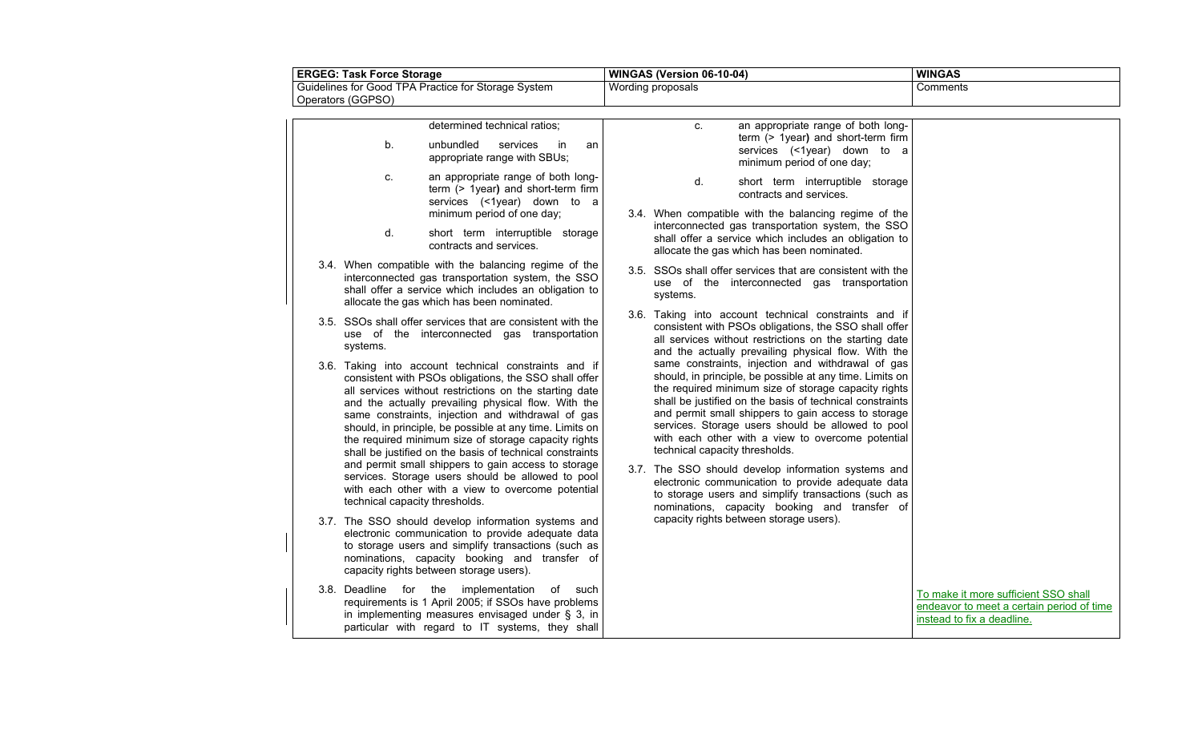| <b>ERGEG: Task Force Storage</b> |                                | WINGAS (Version 06-10-04)                                                                                                                                                                                                                                                                                                                                                                                                                                                                                                   |                   | <b>WINGAS</b>                                                                                                                                                                                                                                                                                                                                                                                                                        |                                                                                                                 |
|----------------------------------|--------------------------------|-----------------------------------------------------------------------------------------------------------------------------------------------------------------------------------------------------------------------------------------------------------------------------------------------------------------------------------------------------------------------------------------------------------------------------------------------------------------------------------------------------------------------------|-------------------|--------------------------------------------------------------------------------------------------------------------------------------------------------------------------------------------------------------------------------------------------------------------------------------------------------------------------------------------------------------------------------------------------------------------------------------|-----------------------------------------------------------------------------------------------------------------|
|                                  |                                | Guidelines for Good TPA Practice for Storage System                                                                                                                                                                                                                                                                                                                                                                                                                                                                         | Wording proposals |                                                                                                                                                                                                                                                                                                                                                                                                                                      | Comments                                                                                                        |
|                                  | Operators (GGPSO)              |                                                                                                                                                                                                                                                                                                                                                                                                                                                                                                                             |                   |                                                                                                                                                                                                                                                                                                                                                                                                                                      |                                                                                                                 |
|                                  |                                | determined technical ratios;                                                                                                                                                                                                                                                                                                                                                                                                                                                                                                |                   | an appropriate range of both long-<br>C.<br>term (> 1year) and short-term firm                                                                                                                                                                                                                                                                                                                                                       |                                                                                                                 |
|                                  | b.                             | unbundled<br>services<br>in<br>an<br>appropriate range with SBUs;                                                                                                                                                                                                                                                                                                                                                                                                                                                           |                   | services (<1year) down to a<br>minimum period of one day;                                                                                                                                                                                                                                                                                                                                                                            |                                                                                                                 |
|                                  | C.                             | an appropriate range of both long-<br>term (> 1year) and short-term firm<br>services (<1year) down to a<br>minimum period of one day;                                                                                                                                                                                                                                                                                                                                                                                       |                   | d.<br>short term interruptible storage<br>contracts and services.<br>3.4. When compatible with the balancing regime of the                                                                                                                                                                                                                                                                                                           |                                                                                                                 |
|                                  | d.                             | short term interruptible storage<br>contracts and services.                                                                                                                                                                                                                                                                                                                                                                                                                                                                 |                   | interconnected gas transportation system, the SSO<br>shall offer a service which includes an obligation to<br>allocate the gas which has been nominated.                                                                                                                                                                                                                                                                             |                                                                                                                 |
|                                  |                                | 3.4. When compatible with the balancing regime of the<br>interconnected gas transportation system, the SSO<br>shall offer a service which includes an obligation to<br>allocate the gas which has been nominated.                                                                                                                                                                                                                                                                                                           |                   | 3.5. SSOs shall offer services that are consistent with the<br>use of the interconnected gas transportation<br>systems.                                                                                                                                                                                                                                                                                                              |                                                                                                                 |
|                                  | systems.                       | 3.5. SSOs shall offer services that are consistent with the<br>use of the interconnected gas transportation                                                                                                                                                                                                                                                                                                                                                                                                                 |                   | 3.6. Taking into account technical constraints and if<br>consistent with PSOs obligations, the SSO shall offer<br>all services without restrictions on the starting date<br>and the actually prevailing physical flow. With the                                                                                                                                                                                                      |                                                                                                                 |
|                                  |                                | 3.6. Taking into account technical constraints and if<br>consistent with PSOs obligations, the SSO shall offer<br>all services without restrictions on the starting date<br>and the actually prevailing physical flow. With the<br>same constraints, injection and withdrawal of gas<br>should, in principle, be possible at any time. Limits on<br>the required minimum size of storage capacity rights<br>shall be justified on the basis of technical constraints<br>and permit small shippers to gain access to storage |                   | same constraints, injection and withdrawal of gas<br>should, in principle, be possible at any time. Limits on<br>the required minimum size of storage capacity rights<br>shall be justified on the basis of technical constraints<br>and permit small shippers to gain access to storage<br>services. Storage users should be allowed to pool<br>with each other with a view to overcome potential<br>technical capacity thresholds. |                                                                                                                 |
|                                  | technical capacity thresholds. | services. Storage users should be allowed to pool<br>with each other with a view to overcome potential                                                                                                                                                                                                                                                                                                                                                                                                                      |                   | 3.7. The SSO should develop information systems and<br>electronic communication to provide adequate data<br>to storage users and simplify transactions (such as<br>nominations, capacity booking and transfer of                                                                                                                                                                                                                     |                                                                                                                 |
|                                  |                                | 3.7. The SSO should develop information systems and<br>electronic communication to provide adequate data<br>to storage users and simplify transactions (such as<br>nominations, capacity booking and transfer of<br>capacity rights between storage users).                                                                                                                                                                                                                                                                 |                   | capacity rights between storage users).                                                                                                                                                                                                                                                                                                                                                                                              |                                                                                                                 |
|                                  |                                | 3.8. Deadline for the implementation<br>of such<br>requirements is 1 April 2005; if SSOs have problems<br>in implementing measures envisaged under § 3, in<br>particular with regard to IT systems, they shall                                                                                                                                                                                                                                                                                                              |                   |                                                                                                                                                                                                                                                                                                                                                                                                                                      | To make it more sufficient SSO shall<br>endeavor to meet a certain period of time<br>instead to fix a deadline. |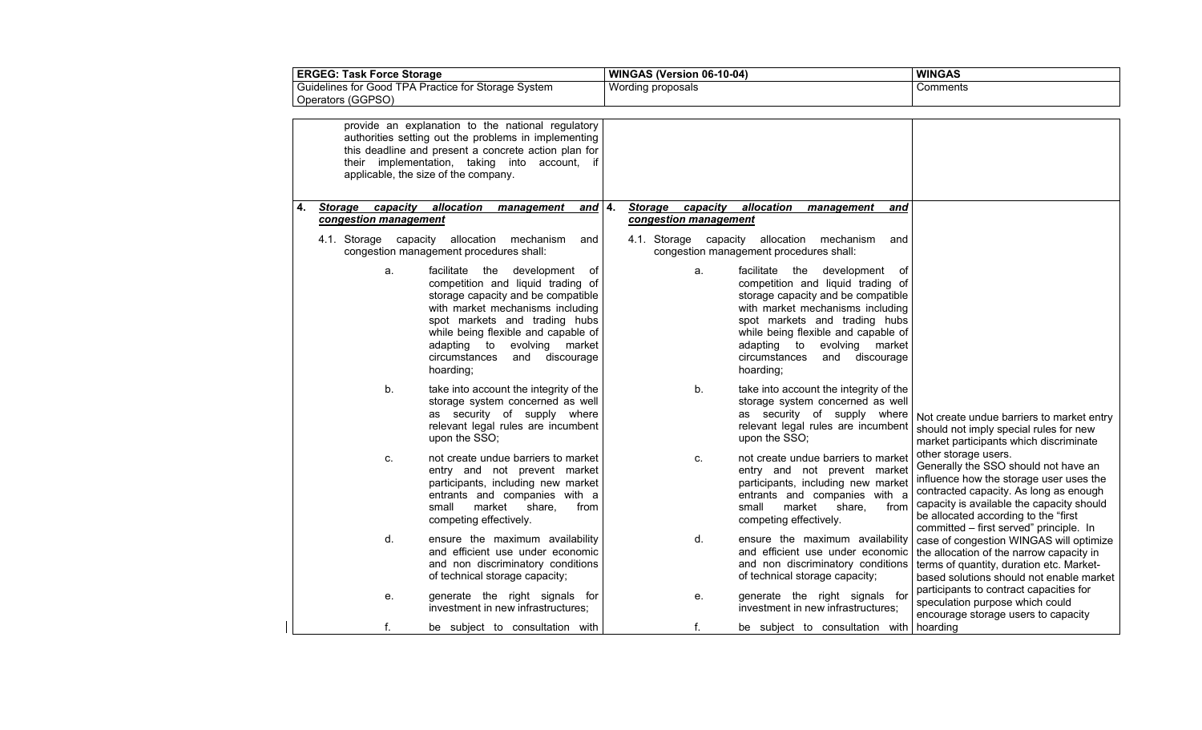| <b>ERGEG: Task Force Storage</b>                                         |                                              | WINGAS (Version 06-10-04)                                                                                                                                                                                                                                                                              |                                              | <b>WINGAS</b>                                                                                                                                                                                                                                                                                       |                                                                                                                                                                                                                                                                                   |
|--------------------------------------------------------------------------|----------------------------------------------|--------------------------------------------------------------------------------------------------------------------------------------------------------------------------------------------------------------------------------------------------------------------------------------------------------|----------------------------------------------|-----------------------------------------------------------------------------------------------------------------------------------------------------------------------------------------------------------------------------------------------------------------------------------------------------|-----------------------------------------------------------------------------------------------------------------------------------------------------------------------------------------------------------------------------------------------------------------------------------|
| Guidelines for Good TPA Practice for Storage System<br>Operators (GGPSO) |                                              | Wording proposals                                                                                                                                                                                                                                                                                      |                                              | Comments                                                                                                                                                                                                                                                                                            |                                                                                                                                                                                                                                                                                   |
|                                                                          |                                              |                                                                                                                                                                                                                                                                                                        |                                              |                                                                                                                                                                                                                                                                                                     |                                                                                                                                                                                                                                                                                   |
|                                                                          |                                              | provide an explanation to the national regulatory<br>authorities setting out the problems in implementing<br>this deadline and present a concrete action plan for<br>their implementation, taking into account, if<br>applicable, the size of the company.                                             |                                              |                                                                                                                                                                                                                                                                                                     |                                                                                                                                                                                                                                                                                   |
| 4.                                                                       | capacity<br>Storage<br>congestion management | allocation<br>management<br>and $ 4.$                                                                                                                                                                                                                                                                  | capacity<br>Storage<br>congestion management | allocation<br>management<br>and                                                                                                                                                                                                                                                                     |                                                                                                                                                                                                                                                                                   |
|                                                                          | 4.1. Storage capacity                        | allocation mechanism<br>and<br>congestion management procedures shall:                                                                                                                                                                                                                                 | 4.1. Storage capacity                        | allocation mechanism<br>and<br>congestion management procedures shall:                                                                                                                                                                                                                              |                                                                                                                                                                                                                                                                                   |
|                                                                          | a.                                           | facilitate the development<br>of<br>competition and liquid trading of<br>storage capacity and be compatible<br>with market mechanisms including<br>spot markets and trading hubs<br>while being flexible and capable of<br>adapting to evolving market<br>circumstances<br>and discourage<br>hoarding; | a.                                           | facilitate the development of<br>competition and liquid trading of<br>storage capacity and be compatible<br>with market mechanisms including<br>spot markets and trading hubs<br>while being flexible and capable of<br>adapting to evolving market<br>circumstances<br>and discourage<br>hoarding; |                                                                                                                                                                                                                                                                                   |
|                                                                          | b.                                           | take into account the integrity of the<br>storage system concerned as well<br>as security of supply where<br>relevant legal rules are incumbent<br>upon the SSO;                                                                                                                                       | b.                                           | take into account the integrity of the<br>storage system concerned as well<br>as security of supply where<br>relevant legal rules are incumbent<br>upon the SSO;                                                                                                                                    | Not create undue barriers to market entry<br>should not imply special rules for new<br>market participants which discriminate                                                                                                                                                     |
|                                                                          | C.                                           | not create undue barriers to market<br>entry and not prevent market<br>participants, including new market<br>entrants and companies with a<br>market share,<br>small<br>from<br>competing effectively.                                                                                                 | C.                                           | not create undue barriers to market<br>entry and not prevent market<br>participants, including new market<br>entrants and companies with a<br>market<br>share,<br>small<br>from<br>competing effectively.                                                                                           | other storage users.<br>Generally the SSO should not have an<br>influence how the storage user uses the<br>contracted capacity. As long as enough<br>capacity is available the capacity should<br>be allocated according to the "first<br>committed - first served" principle. In |
|                                                                          | d.                                           | ensure the maximum availability<br>and efficient use under economic<br>and non discriminatory conditions<br>of technical storage capacity;                                                                                                                                                             | d.                                           | ensure the maximum availability<br>and efficient use under economic<br>and non discriminatory conditions<br>of technical storage capacity;                                                                                                                                                          | case of congestion WINGAS will optimize<br>the allocation of the narrow capacity in<br>terms of quantity, duration etc. Market-<br>based solutions should not enable market                                                                                                       |
|                                                                          | е.                                           | generate the right signals for<br>investment in new infrastructures;                                                                                                                                                                                                                                   | е.                                           | generate the right signals for<br>investment in new infrastructures;                                                                                                                                                                                                                                | participants to contract capacities for<br>speculation purpose which could<br>encourage storage users to capacity                                                                                                                                                                 |
|                                                                          | f.                                           | be subject to consultation with                                                                                                                                                                                                                                                                        | f.                                           | be subject to consultation with   hoarding                                                                                                                                                                                                                                                          |                                                                                                                                                                                                                                                                                   |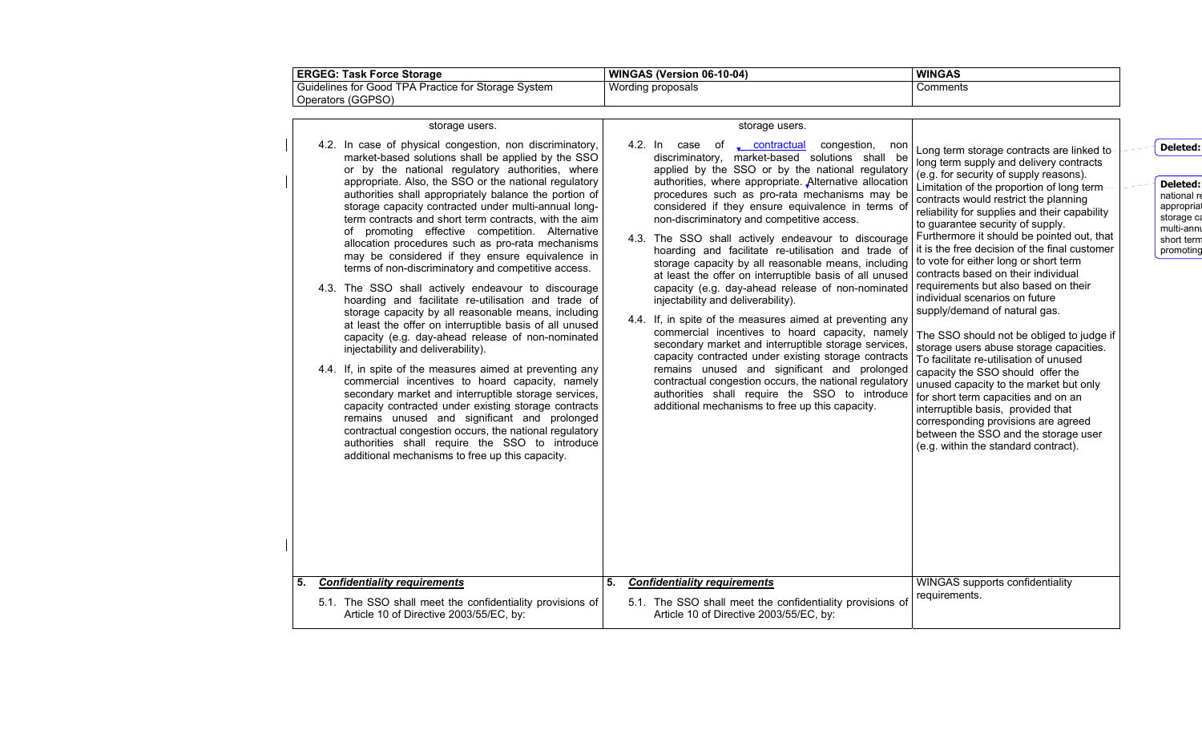| <b>ERGEG: Task Force Storage</b>                    | <b>WINGAS (Version 06-10-04)</b> | <b>WINGAS</b> |
|-----------------------------------------------------|----------------------------------|---------------|
| Guidelines for Good TPA Practice for Storage System | Wording proposals                | Comments      |
| Operators (GGPSO)                                   |                                  |               |

**Deleted:** national re appropriat

storage ca multi-annu short ter m promoting

| storage users.                                                                                                                      |                                                                                                                                                                                                                                                                                                                                                                                                                                                                                                                                                                                                                                                                                                                                                                                                                                                                                                                                                                                    |                                                                                                                                                                                                                                                                                                                                                                                                                                                                                                                                                                                                                                                                                                                                                                                                                                                                                                                                                                                                                                                                                                                |
|-------------------------------------------------------------------------------------------------------------------------------------|------------------------------------------------------------------------------------------------------------------------------------------------------------------------------------------------------------------------------------------------------------------------------------------------------------------------------------------------------------------------------------------------------------------------------------------------------------------------------------------------------------------------------------------------------------------------------------------------------------------------------------------------------------------------------------------------------------------------------------------------------------------------------------------------------------------------------------------------------------------------------------------------------------------------------------------------------------------------------------|----------------------------------------------------------------------------------------------------------------------------------------------------------------------------------------------------------------------------------------------------------------------------------------------------------------------------------------------------------------------------------------------------------------------------------------------------------------------------------------------------------------------------------------------------------------------------------------------------------------------------------------------------------------------------------------------------------------------------------------------------------------------------------------------------------------------------------------------------------------------------------------------------------------------------------------------------------------------------------------------------------------------------------------------------------------------------------------------------------------|
| non-discriminatory and competitive access.<br>injectability and deliverability).<br>additional mechanisms to free up this capacity. | Long-term storage-contracts-are linked-to-<br>long term supply and delivery contracts<br>(e.g. for security of supply reasons).<br>Limitation of the proportion of long term-<br>contracts would restrict the planning<br>reliability for supplies and their capability<br>to guarantee security of supply.<br>Furthermore it should be pointed out, that<br>it is the free decision of the final customer<br>to vote for either long or short term<br>contracts based on their individual<br>individual scenarios on future<br>supply/demand of natural gas.<br>The SSO should not be obliged to judge if<br>storage users abuse storage capacities.<br>To facilitate re-utilisation of unused<br>capacity the SSO should offer the<br>unused capacity to the market but only<br>for short term capacities and on an<br>interruptible basis, provided that<br>corresponding provisions are agreed<br>between the SSO and the storage user<br>(e.g. within the standard contract). | Deleted:<br><b>Deleted:</b><br>national r<br>appropria<br>storage c<br>multi-ann<br>short tern<br>promoting                                                                                                                                                                                                                                                                                                                                                                                                                                                                                                                                                                                                                                                                                                                                                                                                                                                                                                                                                                                                    |
| <b>Confidentiality requirements</b><br>5.<br>Article 10 of Directive 2003/55/EC, by:                                                | WINGAS supports confidentiality<br>requirements.                                                                                                                                                                                                                                                                                                                                                                                                                                                                                                                                                                                                                                                                                                                                                                                                                                                                                                                                   |                                                                                                                                                                                                                                                                                                                                                                                                                                                                                                                                                                                                                                                                                                                                                                                                                                                                                                                                                                                                                                                                                                                |
|                                                                                                                                     |                                                                                                                                                                                                                                                                                                                                                                                                                                                                                                                                                                                                                                                                                                                                                                                                                                                                                                                                                                                    | 4.2. In case of <u>contractual</u> congestion, non<br>discriminatory, market-based solutions shall be<br>applied by the SSO or by the national regulatory<br>authorities, where appropriate. Alternative allocation<br>procedures such as pro-rata mechanisms may be<br>considered if they ensure equivalence in terms of<br>4.3. The SSO shall actively endeavour to discourage<br>hoarding and facilitate re-utilisation and trade of<br>storage capacity by all reasonable means, including<br>at least the offer on interruptible basis of all unused<br>capacity (e.g. day-ahead release of non-nominated   requirements but also based on their<br>4.4. If, in spite of the measures aimed at preventing any<br>commercial incentives to hoard capacity, namely<br>secondary market and interruptible storage services,<br>capacity contracted under existing storage contracts<br>remains unused and significant and prolonged<br>contractual congestion occurs, the national regulatory<br>authorities shall require the SSO to introduce<br>5.1. The SSO shall meet the confidentiality provisions of |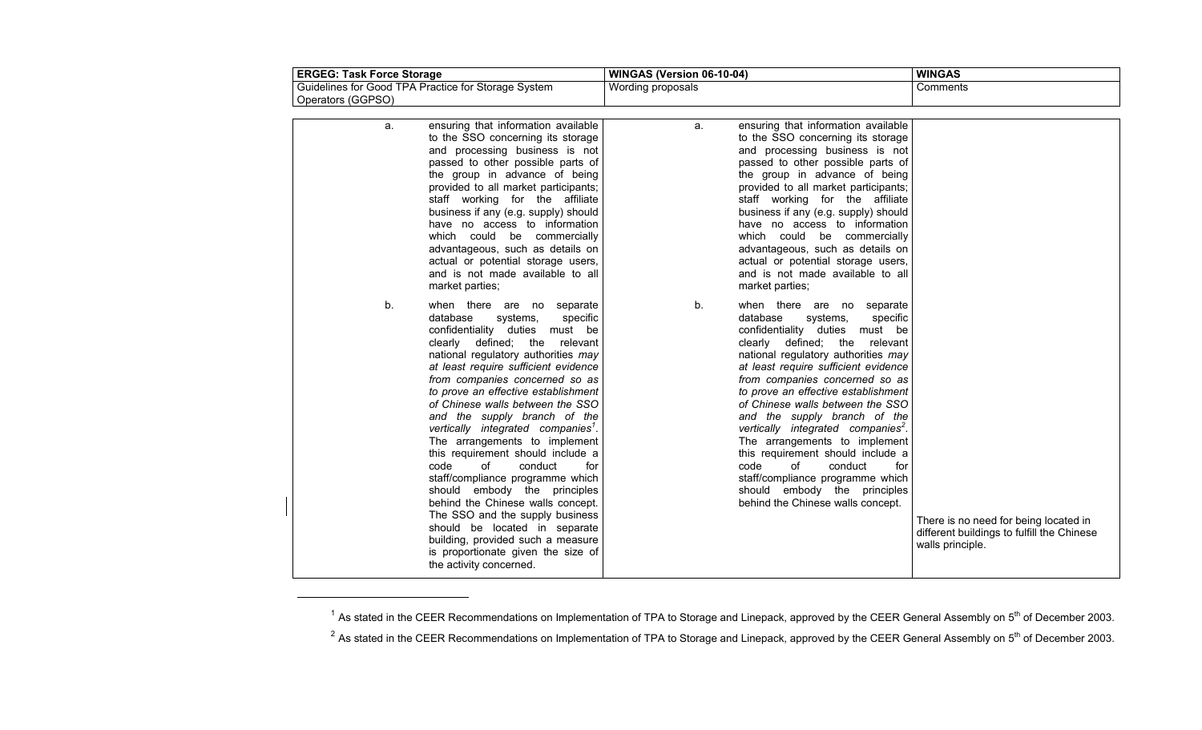| <b>ERGEG: Task Force Storage</b>                                                                                                                                                                                                                                                                                                                                                                                                                                                                                                                                                                                                                                                                                                                                                                                  | WINGAS (Version 06-10-04)                                                                                                                                                                                                                                                                                                                                                                                                                                                                                                                                                                                                            | <b>WINGAS</b>                                                                                           |
|-------------------------------------------------------------------------------------------------------------------------------------------------------------------------------------------------------------------------------------------------------------------------------------------------------------------------------------------------------------------------------------------------------------------------------------------------------------------------------------------------------------------------------------------------------------------------------------------------------------------------------------------------------------------------------------------------------------------------------------------------------------------------------------------------------------------|--------------------------------------------------------------------------------------------------------------------------------------------------------------------------------------------------------------------------------------------------------------------------------------------------------------------------------------------------------------------------------------------------------------------------------------------------------------------------------------------------------------------------------------------------------------------------------------------------------------------------------------|---------------------------------------------------------------------------------------------------------|
| Guidelines for Good TPA Practice for Storage System<br>Operators (GGPSO)                                                                                                                                                                                                                                                                                                                                                                                                                                                                                                                                                                                                                                                                                                                                          | Wording proposals                                                                                                                                                                                                                                                                                                                                                                                                                                                                                                                                                                                                                    | Comments                                                                                                |
|                                                                                                                                                                                                                                                                                                                                                                                                                                                                                                                                                                                                                                                                                                                                                                                                                   |                                                                                                                                                                                                                                                                                                                                                                                                                                                                                                                                                                                                                                      |                                                                                                         |
| ensuring that information available<br>a.<br>to the SSO concerning its storage<br>and processing business is not<br>passed to other possible parts of<br>the group in advance of being<br>provided to all market participants;<br>staff working for the affiliate<br>business if any (e.g. supply) should<br>have no access to information<br>which could be commercially<br>advantageous, such as details on<br>actual or potential storage users,<br>and is not made available to all<br>market parties;                                                                                                                                                                                                                                                                                                        | ensuring that information available<br>a.<br>to the SSO concerning its storage<br>and processing business is not<br>passed to other possible parts of<br>the group in advance of being<br>provided to all market participants;<br>staff working for the affiliate<br>business if any (e.g. supply) should<br>have no access to information<br>which could be commercially<br>advantageous, such as details on<br>actual or potential storage users,<br>and is not made available to all<br>market parties;                                                                                                                           |                                                                                                         |
| b.<br>when there are no separate<br>database<br>systems,<br>specific<br>confidentiality duties must be<br>clearly defined; the<br>relevant<br>national regulatory authorities may<br>at least require sufficient evidence<br>from companies concerned so as<br>to prove an effective establishment<br>of Chinese walls between the SSO<br>and the supply branch of the<br>vertically integrated companies <sup>1</sup> .<br>The arrangements to implement<br>this requirement should include a<br>of<br>code<br>conduct<br>for<br>staff/compliance programme which<br>should embody the principles<br>behind the Chinese walls concept.<br>The SSO and the supply business<br>should be located in separate<br>building, provided such a measure<br>is proportionate given the size of<br>the activity concerned. | b.<br>when there are no separate<br>database<br>systems,<br>specific<br>confidentiality duties must be<br>clearly defined; the relevant<br>national regulatory authorities may<br>at least require sufficient evidence<br>from companies concerned so as<br>to prove an effective establishment<br>of Chinese walls between the SSO<br>and the supply branch of the<br>vertically integrated companies <sup>2</sup> .<br>The arrangements to implement<br>this requirement should include a<br>code<br>of<br>conduct<br>for<br>staff/compliance programme which<br>should embody the principles<br>behind the Chinese walls concept. | There is no need for being located in<br>different buildings to fulfill the Chinese<br>walls principle. |

<sup>&</sup>lt;sup>1</sup> As stated in the CEER Recommendations on Implementation of TPA to Storage and Linepack, approved by the CEER General Assembly on 5<sup>th</sup> of December 2003.

<sup>&</sup>lt;sup>2</sup> As stated in the CEER Recommendations on Implementation of TPA to Storage and Linepack, approved by the CEER General Assembly on 5<sup>th</sup> of December 2003.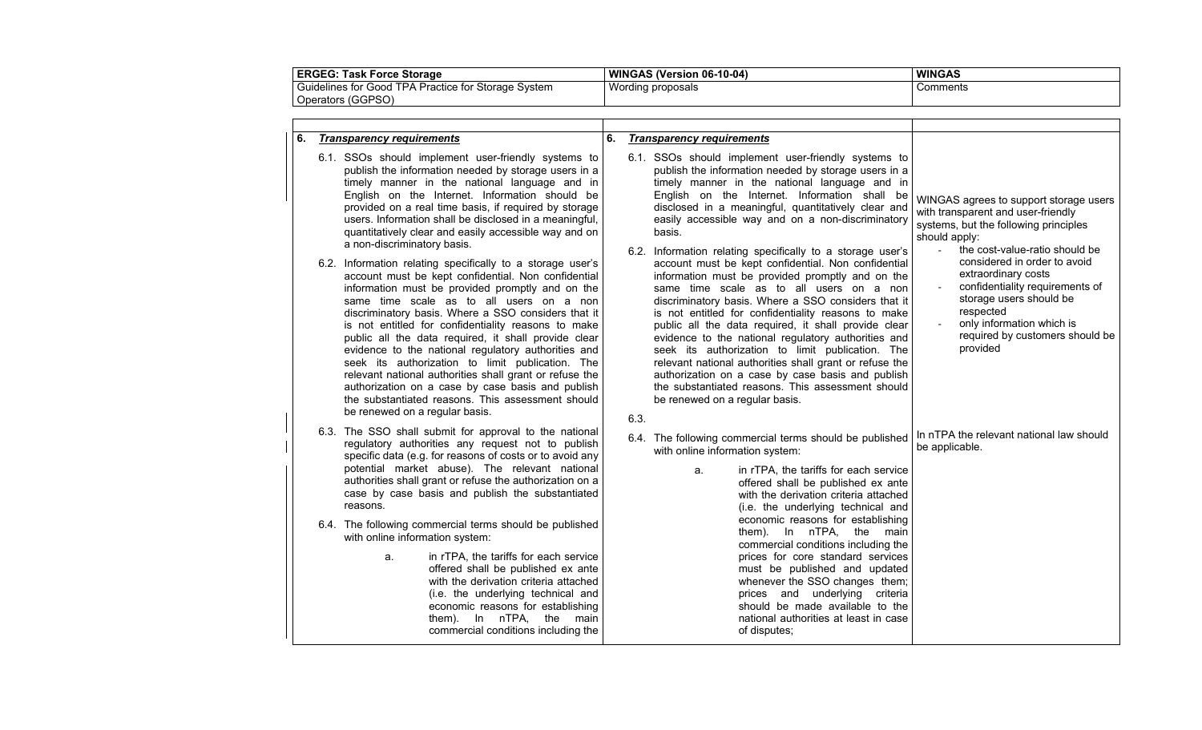| <b>ERGEG:</b><br><b>Task Force Storage</b>                                    | WINGAS (Version 06-10-04) | <b>WINGAS</b> |
|-------------------------------------------------------------------------------|---------------------------|---------------|
| Guidelines for<br><b>TPA</b><br>Rractice for Storage ا<br>for Good<br>⊦Svstem | Wording proposals         | Comments      |
| Operators (GGPSO)                                                             |                           |               |

| 6. | <b>Transparency requirements</b>                                                                                                                                                                                                                                                                                                                                                                                                                                                                                                                                                                                                                                                                          | 6. |      | <b>Transparency requirements</b>                                                                                                                                                                                                                                                                                                                                                                                                                                                                                                                                                                                                            |                                                                                                                                                                                                                             |
|----|-----------------------------------------------------------------------------------------------------------------------------------------------------------------------------------------------------------------------------------------------------------------------------------------------------------------------------------------------------------------------------------------------------------------------------------------------------------------------------------------------------------------------------------------------------------------------------------------------------------------------------------------------------------------------------------------------------------|----|------|---------------------------------------------------------------------------------------------------------------------------------------------------------------------------------------------------------------------------------------------------------------------------------------------------------------------------------------------------------------------------------------------------------------------------------------------------------------------------------------------------------------------------------------------------------------------------------------------------------------------------------------------|-----------------------------------------------------------------------------------------------------------------------------------------------------------------------------------------------------------------------------|
|    | 6.1. SSOs should implement user-friendly systems to<br>publish the information needed by storage users in a<br>timely manner in the national language and in<br>English on the Internet. Information should be<br>provided on a real time basis, if required by storage<br>users. Information shall be disclosed in a meaningful,<br>quantitatively clear and easily accessible way and on<br>a non-discriminatory basis.                                                                                                                                                                                                                                                                                 |    |      | 6.1. SSOs should implement user-friendly systems to<br>publish the information needed by storage users in a<br>timely manner in the national language and in<br>English on the Internet. Information shall be<br>disclosed in a meaningful, quantitatively clear and<br>easily accessible way and on a non-discriminatory<br>basis.<br>6.2. Information relating specifically to a storage user's                                                                                                                                                                                                                                           | WINGAS agrees to support storage users<br>with transparent and user-friendly<br>systems, but the following principles<br>should apply:<br>the cost-value-ratio should be<br>$\mathbf{r}$                                    |
|    | 6.2. Information relating specifically to a storage user's<br>account must be kept confidential. Non confidential<br>information must be provided promptly and on the<br>same time scale as to all users on a non<br>discriminatory basis. Where a SSO considers that it<br>is not entitled for confidentiality reasons to make<br>public all the data required, it shall provide clear<br>evidence to the national regulatory authorities and<br>seek its authorization to limit publication. The<br>relevant national authorities shall grant or refuse the<br>authorization on a case by case basis and publish<br>the substantiated reasons. This assessment should<br>be renewed on a regular basis. |    | 6.3. | account must be kept confidential. Non confidential<br>information must be provided promptly and on the<br>same time scale as to all users on a non<br>discriminatory basis. Where a SSO considers that it<br>is not entitled for confidentiality reasons to make<br>public all the data required, it shall provide clear<br>evidence to the national regulatory authorities and<br>seek its authorization to limit publication. The<br>relevant national authorities shall grant or refuse the<br>authorization on a case by case basis and publish<br>the substantiated reasons. This assessment should<br>be renewed on a regular basis. | considered in order to avoid<br>extraordinary costs<br>confidentiality requirements of<br>storage users should be<br>respected<br>only information which is<br>$\frac{1}{2}$<br>required by customers should be<br>provided |
|    | 6.3. The SSO shall submit for approval to the national<br>regulatory authorities any request not to publish<br>specific data (e.g. for reasons of costs or to avoid any<br>potential market abuse). The relevant national<br>authorities shall grant or refuse the authorization on a<br>case by case basis and publish the substantiated<br>reasons.                                                                                                                                                                                                                                                                                                                                                     |    |      | 6.4. The following commercial terms should be published<br>with online information system:<br>in rTPA, the tariffs for each service<br>a.<br>offered shall be published ex ante<br>with the derivation criteria attached<br>(i.e. the underlying technical and                                                                                                                                                                                                                                                                                                                                                                              | In nTPA the relevant national law should<br>be applicable.                                                                                                                                                                  |
|    | 6.4. The following commercial terms should be published<br>with online information system:<br>in rTPA, the tariffs for each service<br>a.<br>offered shall be published ex ante<br>with the derivation criteria attached<br>(i.e. the underlying technical and<br>economic reasons for establishing<br>them). In nTPA, the main<br>commercial conditions including the                                                                                                                                                                                                                                                                                                                                    |    |      | economic reasons for establishing<br>them). In nTPA, the main<br>commercial conditions including the<br>prices for core standard services<br>must be published and updated<br>whenever the SSO changes them;<br>prices and underlying criteria<br>should be made available to the<br>national authorities at least in case<br>of disputes;                                                                                                                                                                                                                                                                                                  |                                                                                                                                                                                                                             |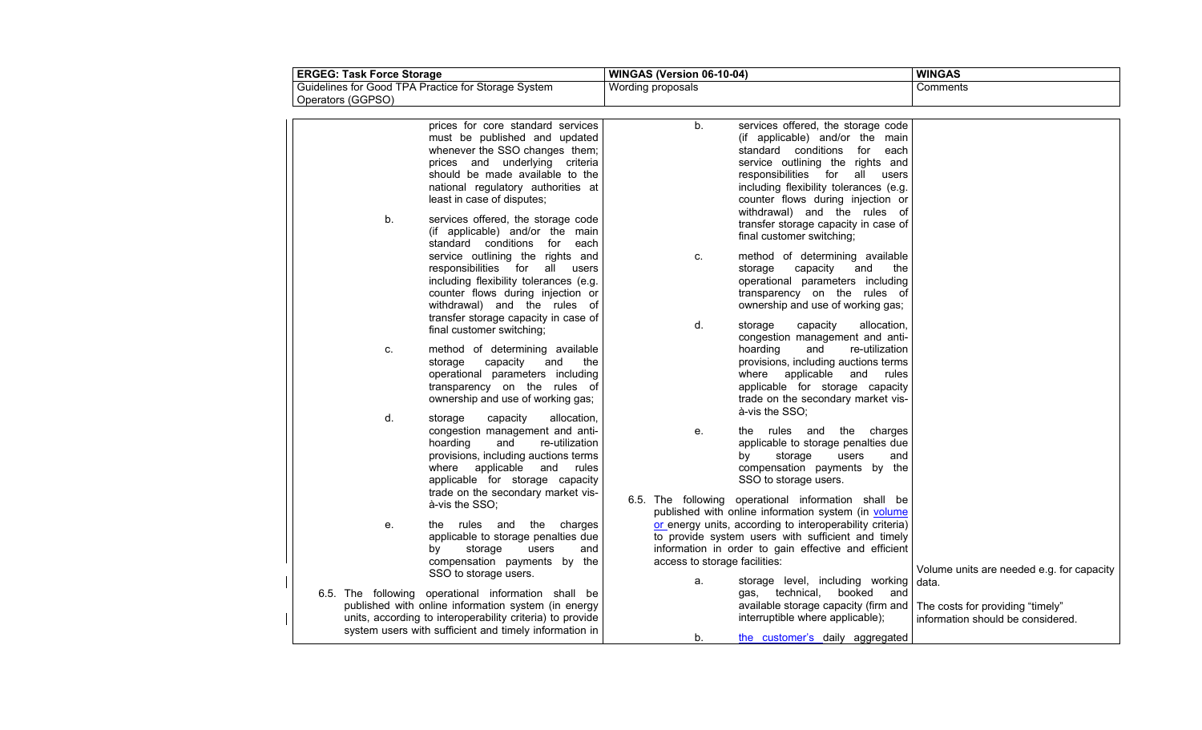| <b>ERGEG: Task Force Storage</b> |                                                                                                                                                                                                                                               | WINGAS (Version 06-10-04)     |                                                                                                                                                                                                                                                                                                     | <b>WINGAS</b>                                                         |  |  |
|----------------------------------|-----------------------------------------------------------------------------------------------------------------------------------------------------------------------------------------------------------------------------------------------|-------------------------------|-----------------------------------------------------------------------------------------------------------------------------------------------------------------------------------------------------------------------------------------------------------------------------------------------------|-----------------------------------------------------------------------|--|--|
| Operators (GGPSO)                | Guidelines for Good TPA Practice for Storage System                                                                                                                                                                                           | Wording proposals             |                                                                                                                                                                                                                                                                                                     | Comments                                                              |  |  |
|                                  |                                                                                                                                                                                                                                               |                               |                                                                                                                                                                                                                                                                                                     |                                                                       |  |  |
|                                  | prices for core standard services<br>must be published and updated<br>whenever the SSO changes them;<br>prices and underlying criteria<br>should be made available to the<br>national regulatory authorities at<br>least in case of disputes; | b.                            | services offered, the storage code<br>(if applicable) and/or the main<br>standard conditions for<br>each<br>service outlining the rights and<br>responsibilities for<br>all<br>users<br>including flexibility tolerances (e.g.<br>counter flows during injection or<br>withdrawal) and the rules of |                                                                       |  |  |
| b.                               | services offered, the storage code<br>(if applicable) and/or the main<br>standard conditions for each                                                                                                                                         |                               | transfer storage capacity in case of<br>final customer switching;                                                                                                                                                                                                                                   |                                                                       |  |  |
|                                  | service outlining the rights and<br>responsibilities for<br>all<br>users<br>including flexibility tolerances (e.g.<br>counter flows during injection or<br>withdrawal) and the rules of<br>transfer storage capacity in case of               | C.                            | method of determining available<br>capacity<br>storage<br>and<br>the<br>operational parameters including<br>transparency on the rules of<br>ownership and use of working gas;                                                                                                                       |                                                                       |  |  |
|                                  | final customer switching;                                                                                                                                                                                                                     | d.                            | storage<br>capacity<br>allocation,<br>congestion management and anti-                                                                                                                                                                                                                               |                                                                       |  |  |
| C.                               | method of determining available<br>storage<br>capacity<br>and<br>the<br>operational parameters including<br>transparency on the rules of<br>ownership and use of working gas;                                                                 |                               | hoarding<br>re-utilization<br>and<br>provisions, including auctions terms<br>where applicable and rules<br>applicable for storage capacity<br>trade on the secondary market vis-<br>à-vis the SSO;                                                                                                  |                                                                       |  |  |
| d.                               | capacity<br>allocation,<br>storage<br>congestion management and anti-<br>hoarding<br>re-utilization<br>and<br>provisions, including auctions terms<br>where applicable and<br>rules<br>applicable for storage capacity                        | е.                            | the rules and the charges<br>applicable to storage penalties due<br>by<br>storage<br>users<br>and<br>compensation payments by the<br>SSO to storage users.                                                                                                                                          |                                                                       |  |  |
|                                  | trade on the secondary market vis-<br>à-vis the SSO;                                                                                                                                                                                          |                               | 6.5. The following operational information shall be<br>published with online information system (in volume                                                                                                                                                                                          |                                                                       |  |  |
| е.                               | the rules and the charges<br>applicable to storage penalties due<br>storage<br>by<br>users<br>and<br>compensation payments by the                                                                                                             | access to storage facilities: | or energy units, according to interoperability criteria)<br>to provide system users with sufficient and timely<br>information in order to gain effective and efficient                                                                                                                              | Volume units are needed e.g. for capacity                             |  |  |
|                                  | SSO to storage users.<br>6.5. The following operational information shall be                                                                                                                                                                  | a.                            | storage level, including working<br>booked and<br>gas, technical,                                                                                                                                                                                                                                   | data.                                                                 |  |  |
|                                  | published with online information system (in energy<br>units, according to interoperability criteria) to provide<br>system users with sufficient and timely information in                                                                    |                               | available storage capacity (firm and<br>interruptible where applicable);                                                                                                                                                                                                                            | The costs for providing "timely"<br>information should be considered. |  |  |
|                                  |                                                                                                                                                                                                                                               | b.                            | the customer's daily aggregated                                                                                                                                                                                                                                                                     |                                                                       |  |  |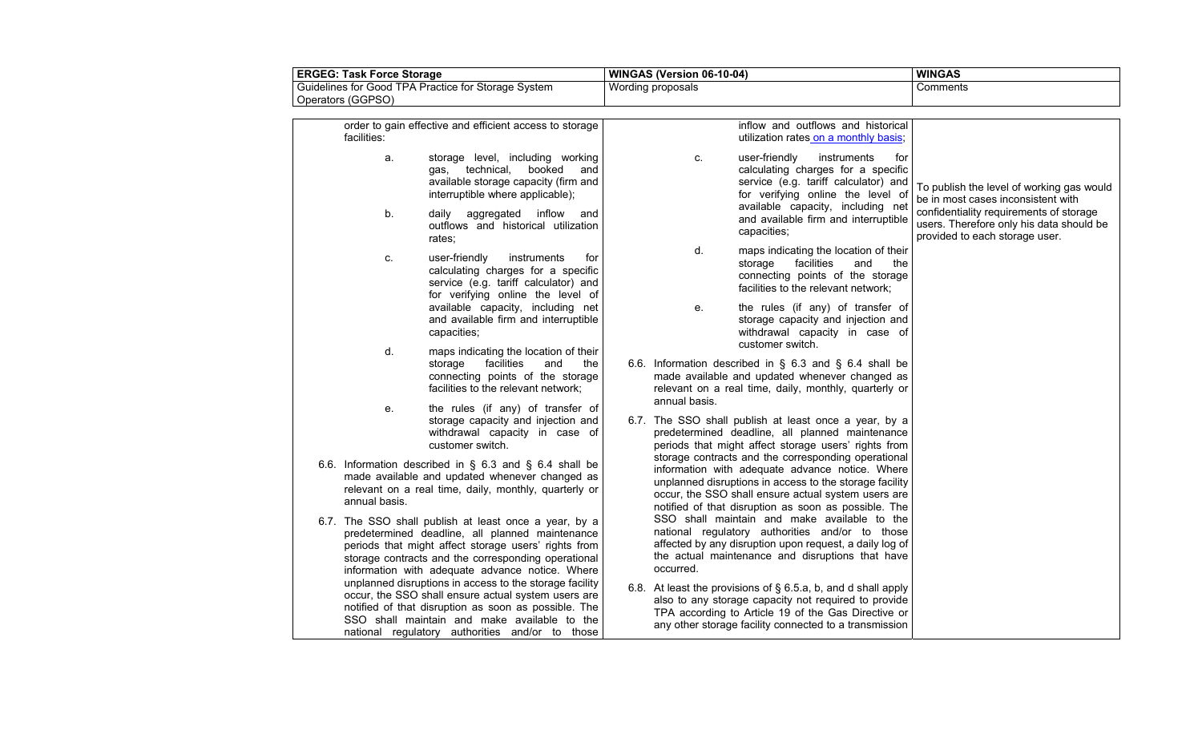| <b>ERGEG: Task Force Storage</b>                    | <b>WINGAS (Version 06-10-04)</b> | <b>WINGAS</b> |
|-----------------------------------------------------|----------------------------------|---------------|
| Guidelines for Good TPA Practice for Storage System | Wording proposals                | Comments      |
| Operators (GGPSO)                                   |                                  |               |

| facilities:   | order to gain effective and efficient access to storage                                                                                                                                                                                                                    |               | inflow and outflows and historical<br>utilization rates on a monthly basis;                                                                                                                                                                                                      |                                                                                                                       |
|---------------|----------------------------------------------------------------------------------------------------------------------------------------------------------------------------------------------------------------------------------------------------------------------------|---------------|----------------------------------------------------------------------------------------------------------------------------------------------------------------------------------------------------------------------------------------------------------------------------------|-----------------------------------------------------------------------------------------------------------------------|
| a.            | storage level, including working<br>gas, technical,<br>booked<br>and<br>available storage capacity (firm and<br>interruptible where applicable);                                                                                                                           | C.            | user-friendly<br>instruments<br>for<br>calculating charges for a specific<br>service (e.g. tariff calculator) and<br>for verifying online the level of                                                                                                                           | To publish the level of working gas would<br>be in most cases inconsistent with                                       |
| b.            | daily aggregated inflow<br>and<br>outflows and historical utilization<br>rates:                                                                                                                                                                                            |               | available capacity, including net<br>and available firm and interruptible<br>capacities;                                                                                                                                                                                         | confidentiality requirements of storage<br>users. Therefore only his data should be<br>provided to each storage user. |
| C.            | user-friendly<br>instruments<br>for<br>calculating charges for a specific<br>service (e.g. tariff calculator) and<br>for verifying online the level of                                                                                                                     | d.            | maps indicating the location of their<br>facilities<br>storage<br>and<br>the<br>connecting points of the storage<br>facilities to the relevant network;                                                                                                                          |                                                                                                                       |
|               | available capacity, including net<br>and available firm and interruptible<br>capacities;                                                                                                                                                                                   | е.            | the rules (if any) of transfer of<br>storage capacity and injection and<br>withdrawal capacity in case of<br>customer switch.                                                                                                                                                    |                                                                                                                       |
| d.            | maps indicating the location of their<br>facilities<br>and<br>storage<br>the<br>connecting points of the storage<br>facilities to the relevant network;                                                                                                                    | annual basis. | 6.6. Information described in $\S$ 6.3 and $\S$ 6.4 shall be<br>made available and updated whenever changed as<br>relevant on a real time, daily, monthly, quarterly or                                                                                                          |                                                                                                                       |
| е.            | the rules (if any) of transfer of<br>storage capacity and injection and<br>withdrawal capacity in case of<br>customer switch.                                                                                                                                              |               | 6.7. The SSO shall publish at least once a year, by a<br>predetermined deadline, all planned maintenance<br>periods that might affect storage users' rights from                                                                                                                 |                                                                                                                       |
| annual basis. | 6.6. Information described in $\S$ 6.3 and $\S$ 6.4 shall be<br>made available and updated whenever changed as<br>relevant on a real time, daily, monthly, quarterly or                                                                                                    |               | storage contracts and the corresponding operational<br>information with adequate advance notice. Where<br>unplanned disruptions in access to the storage facility<br>occur, the SSO shall ensure actual system users are<br>notified of that disruption as soon as possible. The |                                                                                                                       |
|               | 6.7. The SSO shall publish at least once a year, by a<br>predetermined deadline, all planned maintenance<br>periods that might affect storage users' rights from<br>storage contracts and the corresponding operational<br>information with adequate advance notice. Where | occurred.     | SSO shall maintain and make available to the<br>national regulatory authorities and/or to those<br>affected by any disruption upon request, a daily log of<br>the actual maintenance and disruptions that have                                                                   |                                                                                                                       |
|               | unplanned disruptions in access to the storage facility<br>occur, the SSO shall ensure actual system users are<br>notified of that disruption as soon as possible. The<br>SSO shall maintain and make available to the<br>national regulatory authorities and/or to those  |               | 6.8. At least the provisions of § 6.5.a, b, and d shall apply<br>also to any storage capacity not required to provide<br>TPA according to Article 19 of the Gas Directive or<br>any other storage facility connected to a transmission                                           |                                                                                                                       |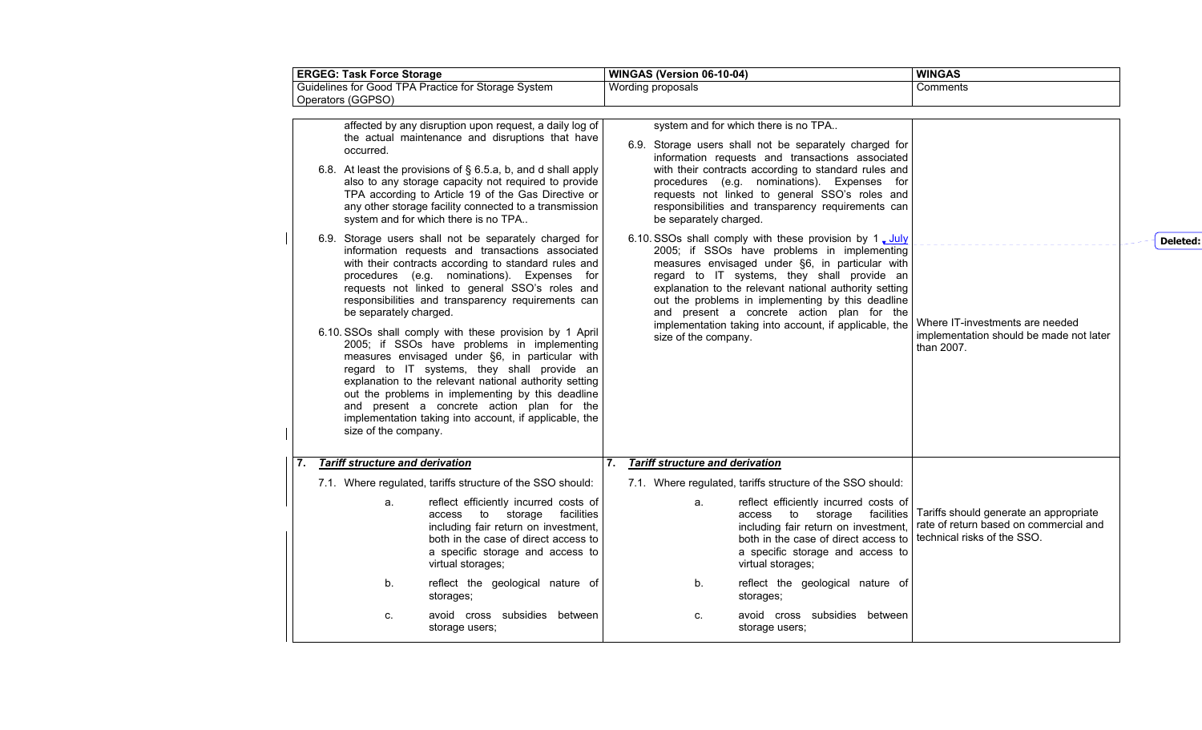| <b>ERGEG: Task Force Storage</b>                                                                                                                                                                                                                                                                                                                                                                                                                        | WINGAS (Version 06-10-04)                                                                                                                                                                                                                                                                                                                                                                                                                              | <b>WINGAS</b>                                                                                                   |
|---------------------------------------------------------------------------------------------------------------------------------------------------------------------------------------------------------------------------------------------------------------------------------------------------------------------------------------------------------------------------------------------------------------------------------------------------------|--------------------------------------------------------------------------------------------------------------------------------------------------------------------------------------------------------------------------------------------------------------------------------------------------------------------------------------------------------------------------------------------------------------------------------------------------------|-----------------------------------------------------------------------------------------------------------------|
| Guidelines for Good TPA Practice for Storage System<br>Operators (GGPSO)                                                                                                                                                                                                                                                                                                                                                                                | Wording proposals                                                                                                                                                                                                                                                                                                                                                                                                                                      | Comments                                                                                                        |
| affected by any disruption upon request, a daily log of<br>the actual maintenance and disruptions that have<br>occurred.<br>6.8. At least the provisions of § 6.5.a, b, and d shall apply<br>also to any storage capacity not required to provide<br>TPA according to Article 19 of the Gas Directive or<br>any other storage facility connected to a transmission<br>system and for which there is no TPA                                              | system and for which there is no TPA<br>6.9. Storage users shall not be separately charged for<br>information requests and transactions associated<br>with their contracts according to standard rules and<br>procedures (e.g. nominations). Expenses for<br>requests not linked to general SSO's roles and<br>responsibilities and transparency requirements can<br>be separately charged.<br>6.10. SSOs shall comply with these provision by 1, July |                                                                                                                 |
| 6.9. Storage users shall not be separately charged for<br>information requests and transactions associated<br>with their contracts according to standard rules and<br>procedures (e.g. nominations). Expenses for<br>requests not linked to general SSO's roles and<br>responsibilities and transparency requirements can<br>be separately charged.                                                                                                     | 2005; if SSOs have problems in implementing<br>measures envisaged under §6, in particular with<br>regard to IT systems, they shall provide an<br>explanation to the relevant national authority setting<br>out the problems in implementing by this deadline<br>and present a concrete action plan for the                                                                                                                                             |                                                                                                                 |
| 6.10. SSOs shall comply with these provision by 1 April<br>2005; if SSOs have problems in implementing<br>measures envisaged under §6, in particular with<br>regard to IT systems, they shall provide an<br>explanation to the relevant national authority setting<br>out the problems in implementing by this deadline<br>and present a concrete action plan for the<br>implementation taking into account, if applicable, the<br>size of the company. | implementation taking into account, if applicable, the<br>size of the company.                                                                                                                                                                                                                                                                                                                                                                         | Where IT-investments are needed<br>implementation should be made not later<br>than 2007.                        |
| <b>Tariff structure and derivation</b><br>7.                                                                                                                                                                                                                                                                                                                                                                                                            | 7.<br><b>Tariff structure and derivation</b>                                                                                                                                                                                                                                                                                                                                                                                                           |                                                                                                                 |
| 7.1. Where regulated, tariffs structure of the SSO should:                                                                                                                                                                                                                                                                                                                                                                                              | 7.1. Where regulated, tariffs structure of the SSO should:                                                                                                                                                                                                                                                                                                                                                                                             |                                                                                                                 |
| reflect efficiently incurred costs of<br>a.<br>to storage<br>facilities<br>access<br>including fair return on investment,<br>both in the case of direct access to<br>a specific storage and access to<br>virtual storages;                                                                                                                                                                                                                              | reflect efficiently incurred costs of<br>a.<br>access to storage<br>facilities<br>including fair return on investment,<br>both in the case of direct access to<br>a specific storage and access to<br>virtual storages;                                                                                                                                                                                                                                | Tariffs should generate an appropriate<br>rate of return based on commercial and<br>technical risks of the SSO. |
| reflect the geological nature of<br>b.<br>storages;                                                                                                                                                                                                                                                                                                                                                                                                     | reflect the geological nature of<br>b.<br>storages;                                                                                                                                                                                                                                                                                                                                                                                                    |                                                                                                                 |
| avoid cross subsidies between<br>C.<br>storage users;                                                                                                                                                                                                                                                                                                                                                                                                   | avoid cross subsidies between<br>c.<br>storage users;                                                                                                                                                                                                                                                                                                                                                                                                  |                                                                                                                 |

**Deleted:**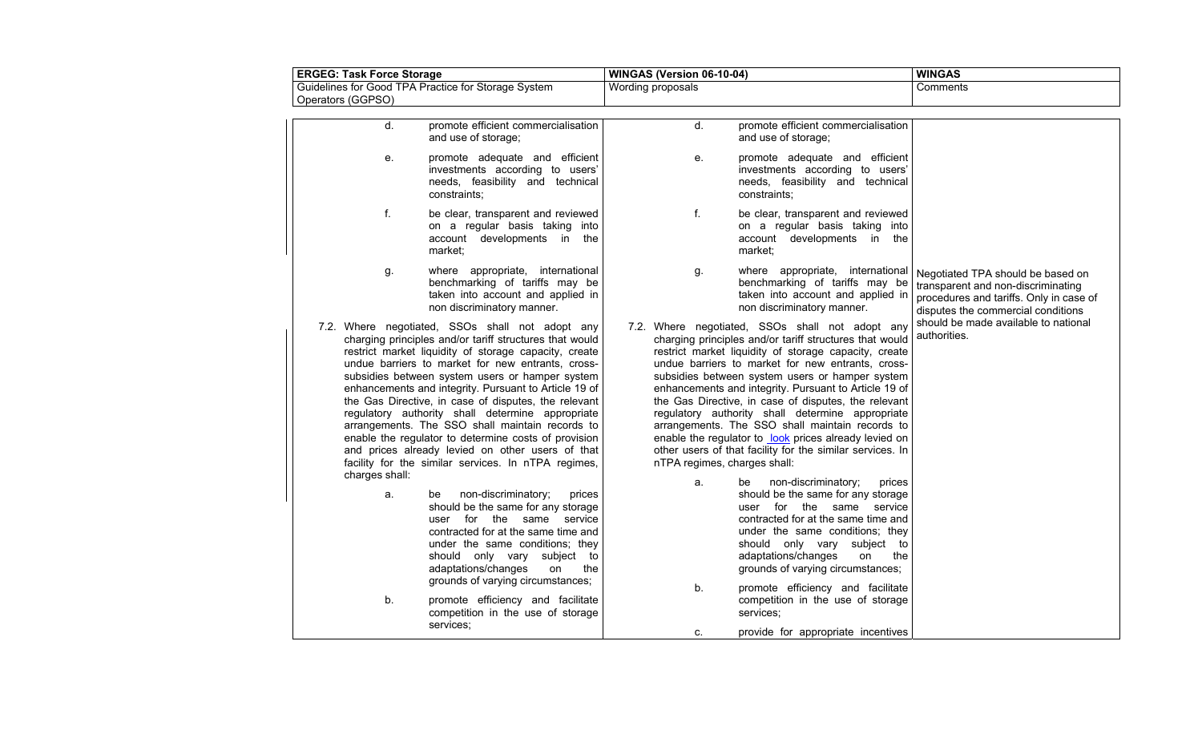| <b>ERGEG: Task Force Storage</b>                                                                                                                                                                                                                                                                                                                                                                                                                                                                                                                                                                                                                                                                                                                   |                                                                                                                                                                                                 | WINGAS (Version 06-10-04)          |                                                                                                                                                                                                                                                                                                                                                                                                                                                                                                                                                                                                                                                                                                                                                                                                                                                                                                                       | <b>WINGAS</b>                                                                                                                                            |  |  |
|----------------------------------------------------------------------------------------------------------------------------------------------------------------------------------------------------------------------------------------------------------------------------------------------------------------------------------------------------------------------------------------------------------------------------------------------------------------------------------------------------------------------------------------------------------------------------------------------------------------------------------------------------------------------------------------------------------------------------------------------------|-------------------------------------------------------------------------------------------------------------------------------------------------------------------------------------------------|------------------------------------|-----------------------------------------------------------------------------------------------------------------------------------------------------------------------------------------------------------------------------------------------------------------------------------------------------------------------------------------------------------------------------------------------------------------------------------------------------------------------------------------------------------------------------------------------------------------------------------------------------------------------------------------------------------------------------------------------------------------------------------------------------------------------------------------------------------------------------------------------------------------------------------------------------------------------|----------------------------------------------------------------------------------------------------------------------------------------------------------|--|--|
| Guidelines for Good TPA Practice for Storage System<br>Operators (GGPSO)                                                                                                                                                                                                                                                                                                                                                                                                                                                                                                                                                                                                                                                                           |                                                                                                                                                                                                 | Wording proposals                  |                                                                                                                                                                                                                                                                                                                                                                                                                                                                                                                                                                                                                                                                                                                                                                                                                                                                                                                       | Comments                                                                                                                                                 |  |  |
| d.<br>and use of storage;                                                                                                                                                                                                                                                                                                                                                                                                                                                                                                                                                                                                                                                                                                                          | promote efficient commercialisation                                                                                                                                                             | d.                                 | promote efficient commercialisation<br>and use of storage;                                                                                                                                                                                                                                                                                                                                                                                                                                                                                                                                                                                                                                                                                                                                                                                                                                                            |                                                                                                                                                          |  |  |
| е.<br>constraints;                                                                                                                                                                                                                                                                                                                                                                                                                                                                                                                                                                                                                                                                                                                                 | promote adequate and efficient<br>investments according to users'<br>needs, feasibility and technical                                                                                           | е.                                 | promote adequate and efficient<br>investments according to users'<br>needs, feasibility and technical<br>constraints:                                                                                                                                                                                                                                                                                                                                                                                                                                                                                                                                                                                                                                                                                                                                                                                                 |                                                                                                                                                          |  |  |
| f.<br>market:                                                                                                                                                                                                                                                                                                                                                                                                                                                                                                                                                                                                                                                                                                                                      | be clear, transparent and reviewed<br>on a regular basis taking into<br>account developments in the                                                                                             | f.                                 | be clear, transparent and reviewed<br>on a regular basis taking into<br>account developments in the<br>market:                                                                                                                                                                                                                                                                                                                                                                                                                                                                                                                                                                                                                                                                                                                                                                                                        |                                                                                                                                                          |  |  |
| g.<br>non discriminatory manner.                                                                                                                                                                                                                                                                                                                                                                                                                                                                                                                                                                                                                                                                                                                   | where appropriate, international<br>benchmarking of tariffs may be<br>taken into account and applied in                                                                                         | g.                                 | where appropriate, international<br>benchmarking of tariffs may be<br>taken into account and applied in<br>non discriminatory manner.                                                                                                                                                                                                                                                                                                                                                                                                                                                                                                                                                                                                                                                                                                                                                                                 | Negotiated TPA should be based on<br>transparent and non-discriminating<br>procedures and tariffs. Only in case of<br>disputes the commercial conditions |  |  |
| 7.2. Where negotiated, SSOs shall not adopt any<br>charging principles and/or tariff structures that would<br>restrict market liquidity of storage capacity, create<br>undue barriers to market for new entrants, cross-<br>subsidies between system users or hamper system<br>enhancements and integrity. Pursuant to Article 19 of<br>the Gas Directive, in case of disputes, the relevant<br>regulatory authority shall determine appropriate<br>arrangements. The SSO shall maintain records to<br>enable the regulator to determine costs of provision<br>and prices already levied on other users of that<br>facility for the similar services. In nTPA regimes,<br>charges shall:<br>non-discriminatory;<br>a.<br>be<br>adaptations/changes | prices<br>should be the same for any storage<br>user for the same service<br>contracted for at the same time and<br>under the same conditions; they<br>should only vary subject to<br>on<br>the | nTPA regimes, charges shall:<br>a. | 7.2. Where negotiated, SSOs shall not adopt any<br>charging principles and/or tariff structures that would<br>restrict market liquidity of storage capacity, create<br>undue barriers to market for new entrants, cross-<br>subsidies between system users or hamper system<br>enhancements and integrity. Pursuant to Article 19 of<br>the Gas Directive, in case of disputes, the relevant<br>regulatory authority shall determine appropriate<br>arrangements. The SSO shall maintain records to<br>enable the regulator to look prices already levied on<br>other users of that facility for the similar services. In<br>non-discriminatory;<br>prices<br>be<br>should be the same for any storage<br>user for the same service<br>contracted for at the same time and<br>under the same conditions; they<br>should only vary subject to<br>adaptations/changes<br>the<br>on<br>grounds of varying circumstances; | should be made available to national<br>authorities.                                                                                                     |  |  |
| grounds of varying circumstances;<br>b.<br>services;                                                                                                                                                                                                                                                                                                                                                                                                                                                                                                                                                                                                                                                                                               | promote efficiency and facilitate<br>competition in the use of storage                                                                                                                          | b.<br>c.                           | promote efficiency and facilitate<br>competition in the use of storage<br>services;<br>provide for appropriate incentives                                                                                                                                                                                                                                                                                                                                                                                                                                                                                                                                                                                                                                                                                                                                                                                             |                                                                                                                                                          |  |  |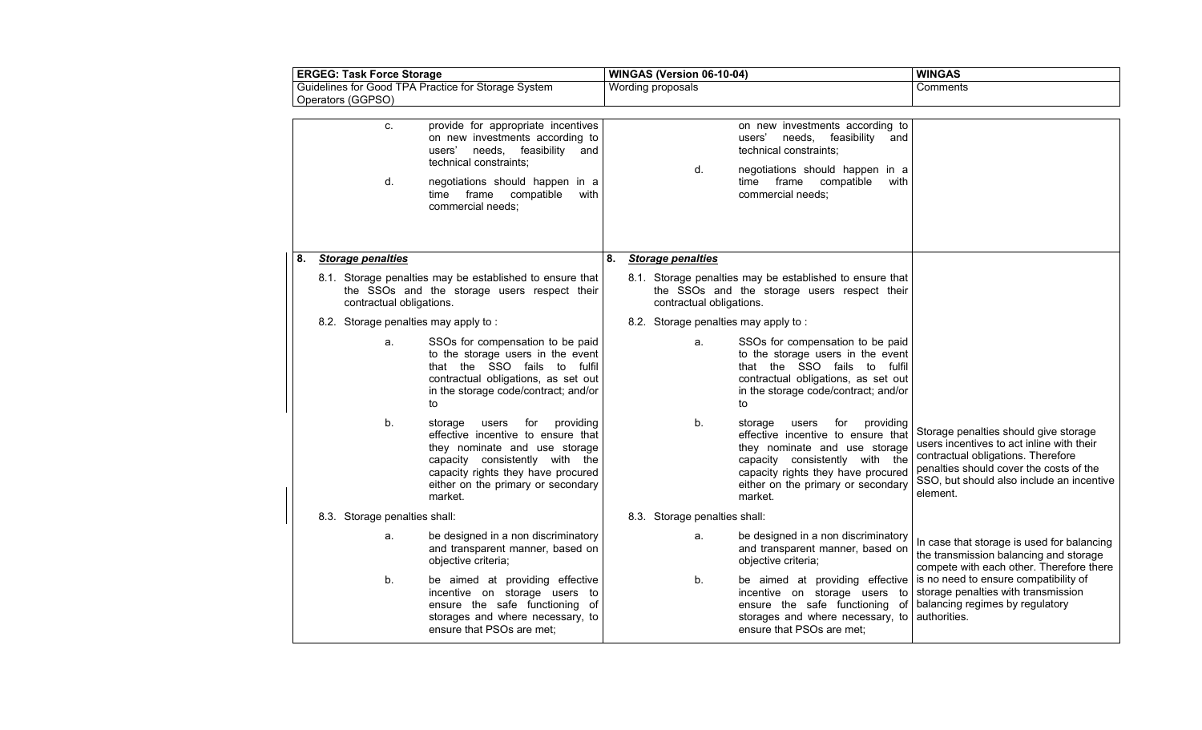| <b>ERGEG: Task Force Storage</b> |  | WINGAS (Version 06-10-04)     |                                                                                                                                                                                                                                      |    |  |                          | <b>WINGAS</b>                 |                                                                                                                                                                                                                                      |                                                                                                                                                                                                                              |
|----------------------------------|--|-------------------------------|--------------------------------------------------------------------------------------------------------------------------------------------------------------------------------------------------------------------------------------|----|--|--------------------------|-------------------------------|--------------------------------------------------------------------------------------------------------------------------------------------------------------------------------------------------------------------------------------|------------------------------------------------------------------------------------------------------------------------------------------------------------------------------------------------------------------------------|
|                                  |  | Operators (GGPSO)             | Guidelines for Good TPA Practice for Storage System                                                                                                                                                                                  |    |  | Wording proposals        |                               |                                                                                                                                                                                                                                      | Comments                                                                                                                                                                                                                     |
|                                  |  | C.<br>d.                      | provide for appropriate incentives<br>on new investments according to<br>needs, feasibility<br>users'<br>and<br>technical constraints:<br>negotiations should happen in a<br>with<br>time frame compatible<br>commercial needs;      |    |  |                          | d.                            | on new investments according to<br>needs, feasibility and<br>users'<br>technical constraints;<br>negotiations should happen in a<br>time frame compatible<br>with<br>commercial needs;                                               |                                                                                                                                                                                                                              |
| 8.                               |  | <b>Storage penalties</b>      |                                                                                                                                                                                                                                      | 8. |  | <b>Storage penalties</b> |                               |                                                                                                                                                                                                                                      |                                                                                                                                                                                                                              |
|                                  |  | contractual obligations.      | 8.1. Storage penalties may be established to ensure that<br>the SSOs and the storage users respect their                                                                                                                             |    |  |                          | contractual obligations.      | 8.1. Storage penalties may be established to ensure that<br>the SSOs and the storage users respect their                                                                                                                             |                                                                                                                                                                                                                              |
|                                  |  |                               | 8.2. Storage penalties may apply to:                                                                                                                                                                                                 |    |  |                          |                               | 8.2. Storage penalties may apply to:                                                                                                                                                                                                 |                                                                                                                                                                                                                              |
|                                  |  | a.                            | SSOs for compensation to be paid<br>to the storage users in the event<br>that the SSO fails to fulfil<br>contractual obligations, as set out<br>in the storage code/contract; and/or<br>to                                           |    |  |                          | a.                            | SSOs for compensation to be paid<br>to the storage users in the event<br>that the SSO fails to fulfil<br>contractual obligations, as set out<br>in the storage code/contract; and/or<br>to                                           |                                                                                                                                                                                                                              |
|                                  |  | b.                            | for<br>providing<br>storage<br>users<br>effective incentive to ensure that<br>they nominate and use storage<br>capacity consistently with the<br>capacity rights they have procured<br>either on the primary or secondary<br>market. |    |  |                          | b.                            | for<br>providing<br>storage<br>users<br>effective incentive to ensure that<br>they nominate and use storage<br>capacity consistently with the<br>capacity rights they have procured<br>either on the primary or secondary<br>market. | Storage penalties should give storage<br>users incentives to act inline with their<br>contractual obligations. Therefore<br>penalties should cover the costs of the<br>SSO, but should also include an incentive<br>element. |
|                                  |  | 8.3. Storage penalties shall: |                                                                                                                                                                                                                                      |    |  |                          | 8.3. Storage penalties shall: |                                                                                                                                                                                                                                      |                                                                                                                                                                                                                              |
|                                  |  | a.                            | be designed in a non discriminatory<br>and transparent manner, based on<br>objective criteria;                                                                                                                                       |    |  |                          | a.                            | be designed in a non discriminatory<br>and transparent manner, based on<br>objective criteria;                                                                                                                                       | In case that storage is used for balancing<br>the transmission balancing and storage<br>compete with each other. Therefore there                                                                                             |
|                                  |  | b.                            | be aimed at providing effective<br>incentive on storage users to<br>ensure the safe functioning of<br>storages and where necessary, to<br>ensure that PSOs are met;                                                                  |    |  |                          | b.                            | be aimed at providing effective<br>incentive on storage users to<br>ensure the safe functioning of<br>storages and where necessary, to<br>ensure that PSOs are met;                                                                  | is no need to ensure compatibility of<br>storage penalties with transmission<br>balancing regimes by regulatory<br>authorities.                                                                                              |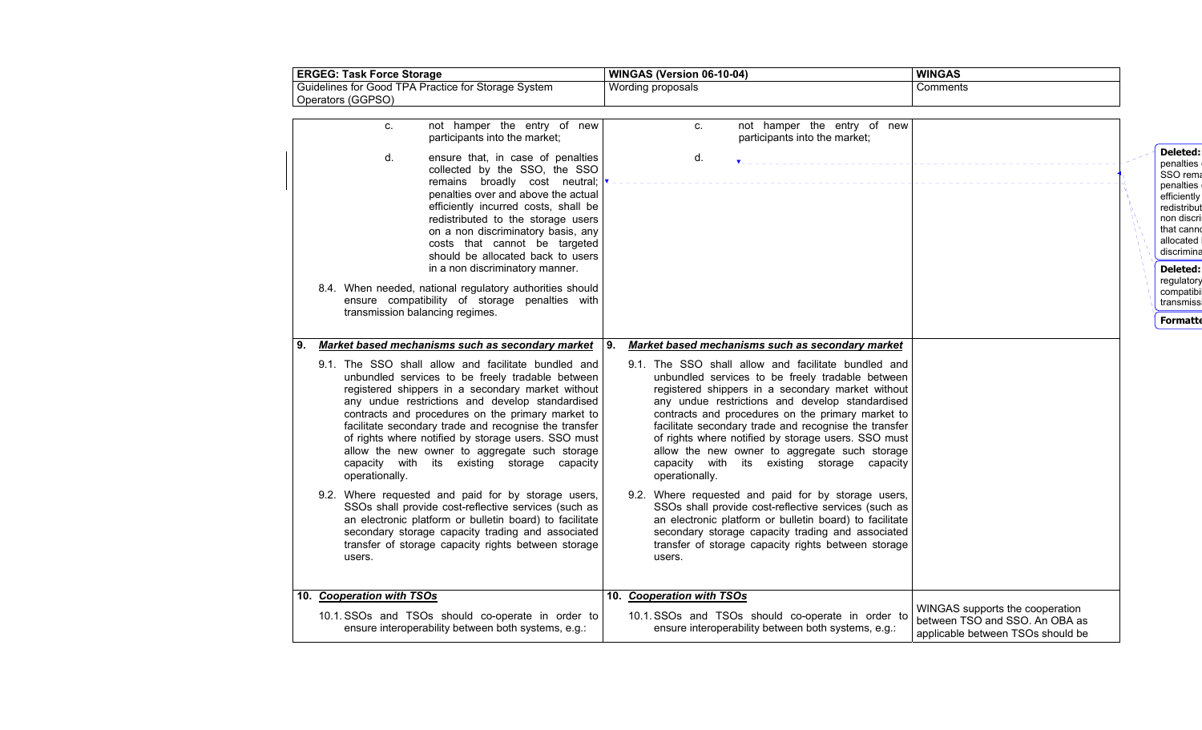| <b>ERGEG: Task Force Storage</b>                                                                                                                                                                                                                                                                                                                                                                                                                                                                                               | WINGAS (Version 06-10-04)                                                                                                                                                                                                                                                                                                                                                                                                                                                                              | <b>WINGAS</b>                                                                                          |                                                                                                                                                                                                              |
|--------------------------------------------------------------------------------------------------------------------------------------------------------------------------------------------------------------------------------------------------------------------------------------------------------------------------------------------------------------------------------------------------------------------------------------------------------------------------------------------------------------------------------|--------------------------------------------------------------------------------------------------------------------------------------------------------------------------------------------------------------------------------------------------------------------------------------------------------------------------------------------------------------------------------------------------------------------------------------------------------------------------------------------------------|--------------------------------------------------------------------------------------------------------|--------------------------------------------------------------------------------------------------------------------------------------------------------------------------------------------------------------|
| Guidelines for Good TPA Practice for Storage System<br>Operators (GGPSO)                                                                                                                                                                                                                                                                                                                                                                                                                                                       | Wording proposals                                                                                                                                                                                                                                                                                                                                                                                                                                                                                      | Comments                                                                                               |                                                                                                                                                                                                              |
| not hamper the entry of new<br>C.<br>participants into the market;                                                                                                                                                                                                                                                                                                                                                                                                                                                             | not hamper the entry of new<br>c.<br>participants into the market;                                                                                                                                                                                                                                                                                                                                                                                                                                     |                                                                                                        |                                                                                                                                                                                                              |
| d.<br>ensure that, in case of penalties<br>collected by the SSO, the SSO<br>remains broadly cost neutral;<br>penalties over and above the actual<br>efficiently incurred costs, shall be<br>redistributed to the storage users<br>on a non discriminatory basis, any<br>costs that cannot be targeted<br>should be allocated back to users<br>in a non discriminatory manner.<br>8.4. When needed, national regulatory authorities should<br>ensure compatibility of storage penalties with<br>transmission balancing regimes. | d.                                                                                                                                                                                                                                                                                                                                                                                                                                                                                                     |                                                                                                        | Deleted:<br>penalties<br>SSO rema<br>penalties<br>efficiently<br>redistribut<br>non discri<br>that canno<br>allocated<br>discrimina<br>Deleted:<br>regulatory<br>compatibil<br>transmissi<br><b>Formatte</b> |
| Market based mechanisms such as secondary market                                                                                                                                                                                                                                                                                                                                                                                                                                                                               | Market based mechanisms such as secondary market<br>9.                                                                                                                                                                                                                                                                                                                                                                                                                                                 |                                                                                                        |                                                                                                                                                                                                              |
| 9.1. The SSO shall allow and facilitate bundled and<br>unbundled services to be freely tradable between<br>registered shippers in a secondary market without<br>any undue restrictions and develop standardised<br>contracts and procedures on the primary market to<br>facilitate secondary trade and recognise the transfer<br>of rights where notified by storage users. SSO must<br>allow the new owner to aggregate such storage<br>capacity with its existing storage capacity<br>operationally.                         | 9.1. The SSO shall allow and facilitate bundled and<br>unbundled services to be freely tradable between<br>registered shippers in a secondary market without<br>any undue restrictions and develop standardised<br>contracts and procedures on the primary market to<br>facilitate secondary trade and recognise the transfer<br>of rights where notified by storage users. SSO must<br>allow the new owner to aggregate such storage<br>capacity with its existing storage capacity<br>operationally. |                                                                                                        |                                                                                                                                                                                                              |
| 9.2. Where requested and paid for by storage users,<br>SSOs shall provide cost-reflective services (such as<br>an electronic platform or bulletin board) to facilitate<br>secondary storage capacity trading and associated<br>transfer of storage capacity rights between storage<br>users.                                                                                                                                                                                                                                   | 9.2. Where requested and paid for by storage users,<br>SSOs shall provide cost-reflective services (such as<br>an electronic platform or bulletin board) to facilitate<br>secondary storage capacity trading and associated<br>transfer of storage capacity rights between storage<br>users.                                                                                                                                                                                                           |                                                                                                        |                                                                                                                                                                                                              |
| 10. Cooperation with TSOs                                                                                                                                                                                                                                                                                                                                                                                                                                                                                                      | 10. Cooperation with TSOs                                                                                                                                                                                                                                                                                                                                                                                                                                                                              |                                                                                                        |                                                                                                                                                                                                              |
| 10.1. SSOs and TSOs should co-operate in order to<br>ensure interoperability between both systems, e.g.:                                                                                                                                                                                                                                                                                                                                                                                                                       | 10.1. SSOs and TSOs should co-operate in order to<br>ensure interoperability between both systems, e.g.:                                                                                                                                                                                                                                                                                                                                                                                               | WINGAS supports the cooperation<br>between TSO and SSO. An OBA as<br>applicable between TSOs should be |                                                                                                                                                                                                              |